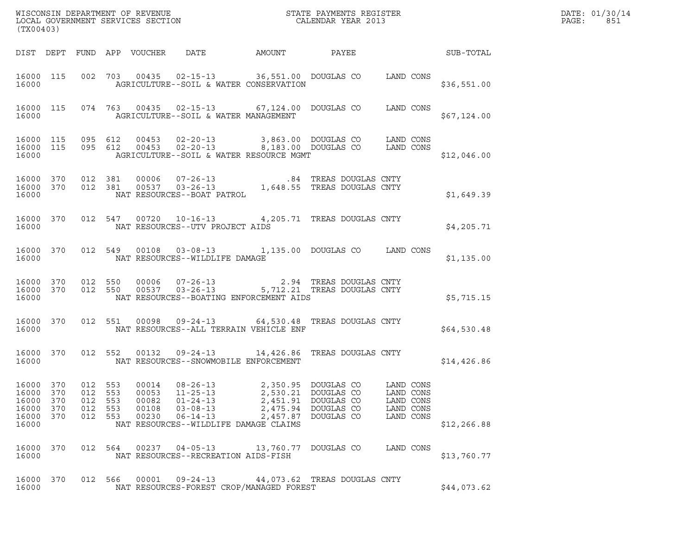| DATE: | 01/30/14 |
|-------|----------|
| PAGE: | 851      |

| (TX00403)                                          |                                 |                                             |            |                                           |                                                                                                                                 |                                                                                                                                                                                                                   |                                                               |              | DATE: 01/30/14<br>PAGE:<br>851 |
|----------------------------------------------------|---------------------------------|---------------------------------------------|------------|-------------------------------------------|---------------------------------------------------------------------------------------------------------------------------------|-------------------------------------------------------------------------------------------------------------------------------------------------------------------------------------------------------------------|---------------------------------------------------------------|--------------|--------------------------------|
|                                                    |                                 |                                             |            |                                           | DIST DEPT FUND APP VOUCHER DATE AMOUNT PAYEE                                                                                    |                                                                                                                                                                                                                   |                                                               | SUB-TOTAL    |                                |
| 16000                                              |                                 |                                             |            |                                           | AGRICULTURE--SOIL & WATER CONSERVATION                                                                                          | 16000 115 002 703 00435 02-15-13 36,551.00 DOUGLAS CO LAND CONS                                                                                                                                                   |                                                               | \$36,551.00  |                                |
| 16000                                              |                                 |                                             |            |                                           | AGRICULTURE--SOIL & WATER MANAGEMENT                                                                                            | 16000 115 074 763 00435 02-15-13 67,124.00 DOUGLAS CO LAND CONS                                                                                                                                                   |                                                               | \$67,124.00  |                                |
| 16000                                              |                                 |                                             |            |                                           | AGRICULTURE--SOIL & WATER RESOURCE MGMT                                                                                         |                                                                                                                                                                                                                   |                                                               | \$12,046.00  |                                |
| 16000                                              |                                 |                                             |            |                                           | NAT RESOURCES--BOAT PATROL                                                                                                      | $\begin{tabular}{cccccc} 16000 & 370 & 012 & 381 & 00006 & 07-26-13 & & & .84 & \text{TREAS DOUTLAS CNTY} \\ 16000 & 370 & 012 & 381 & 00537 & 03-26-13 & & & 1,648.55 & \text{TREAS DOUTLAS CNTY} \end{tabular}$ |                                                               | \$1,649.39   |                                |
| 16000                                              |                                 |                                             |            |                                           | NAT RESOURCES--UTV PROJECT AIDS                                                                                                 | 16000 370 012 547 00720 10-16-13 4,205.71 TREAS DOUGLAS CNTY                                                                                                                                                      |                                                               | \$4,205.71   |                                |
| 16000                                              |                                 |                                             |            |                                           | NAT RESOURCES--WILDLIFE DAMAGE                                                                                                  | 16000 370 012 549 00108 03-08-13 1,135.00 DOUGLAS CO LAND CONS                                                                                                                                                    |                                                               | \$1,135.00   |                                |
| 16000                                              |                                 |                                             |            |                                           | NAT RESOURCES--BOATING ENFORCEMENT AIDS                                                                                         | 16000 370 012 550 00006 07-26-13 2.94 TREAS DOUGLAS CNTY 16000 370 012 550 00537 03-26-13 5,712.21 TREAS DOUGLAS CNTY                                                                                             |                                                               | \$5,715.15   |                                |
| 16000 370<br>16000                                 |                                 |                                             |            |                                           | NAT RESOURCES--ALL TERRAIN VEHICLE ENF                                                                                          | 012 551 00098 09-24-13 64,530.48 TREAS DOUGLAS CNTY                                                                                                                                                               |                                                               | \$64,530.48  |                                |
| 16000 370<br>16000                                 |                                 |                                             |            |                                           | NAT RESOURCES--SNOWMOBILE ENFORCEMENT                                                                                           | 012 552 00132 09-24-13 14,426.86 TREAS DOUGLAS CNTY                                                                                                                                                               |                                                               | \$14,426.86  |                                |
| 16000<br>16000<br>16000<br>16000<br>16000<br>16000 | 370<br>370<br>370<br>370<br>370 | 012<br>012<br>012 553<br>012 553<br>012 553 | 553<br>553 | 00014<br>00053<br>00082<br>00108<br>00230 | $08 - 26 - 13$<br>$11 - 25 - 13$<br>$01 - 24 - 13$<br>$03 - 08 - 13$<br>$06 - 14 - 13$<br>NAT RESOURCES--WILDLIFE DAMAGE CLAIMS | 2,350.95 DOUGLAS CO<br>2,530.21 DOUGLAS CO<br>2,451.91 DOUGLAS CO<br>2,475.94 DOUGLAS CO<br>2,457.87 DOUGLAS CO                                                                                                   | LAND CONS<br>LAND CONS<br>LAND CONS<br>LAND CONS<br>LAND CONS | \$12, 266.88 |                                |
| 16000 370<br>16000                                 |                                 |                                             | 012 564    |                                           | 00237  04-05-13  13,760.77  DOUGLAS CO<br>NAT RESOURCES--RECREATION AIDS-FISH                                                   |                                                                                                                                                                                                                   | LAND CONS                                                     | \$13,760.77  |                                |
| 16000 370<br>16000                                 |                                 |                                             | 012 566    | 00001                                     | NAT RESOURCES-FOREST CROP/MANAGED FOREST                                                                                        | 09-24-13 44,073.62 TREAS DOUGLAS CNTY                                                                                                                                                                             |                                                               | \$44,073.62  |                                |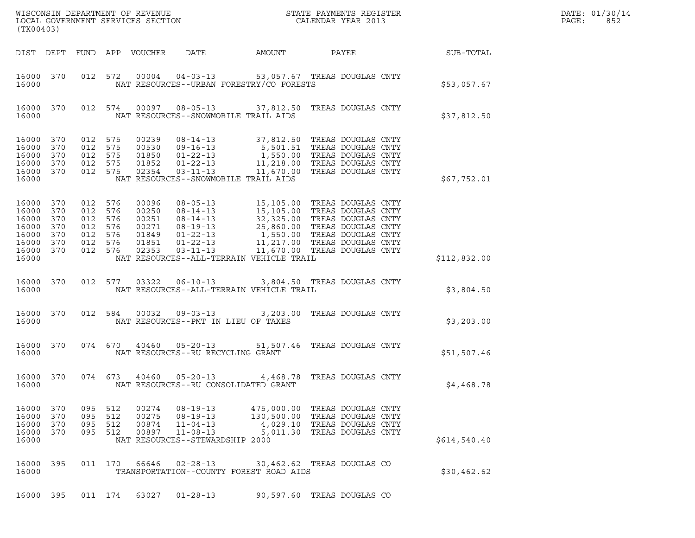| DATE: | 01/30/14 |
|-------|----------|
| PAGE: | 852      |

| (TX00403)                                                                                        |  |  |                                                                           |                                                             |                                                                                       |                                                                                                                                                                                                                                                                                                    |                                                            |  | DATE: 01/30/14<br>PAGE:<br>852 |  |
|--------------------------------------------------------------------------------------------------|--|--|---------------------------------------------------------------------------|-------------------------------------------------------------|---------------------------------------------------------------------------------------|----------------------------------------------------------------------------------------------------------------------------------------------------------------------------------------------------------------------------------------------------------------------------------------------------|------------------------------------------------------------|--|--------------------------------|--|
|                                                                                                  |  |  |                                                                           | DIST DEPT FUND APP VOUCHER                                  |                                                                                       | DATE AMOUNT                                                                                                                                                                                                                                                                                        |                                                            |  | PAYEE SUB-TOTAL                |  |
| 16000 370<br>16000                                                                               |  |  |                                                                           |                                                             |                                                                                       | 012 572 00004 04-03-13 53,057.67 TREAS DOUGLAS CNTY<br>NAT RESOURCES--URBAN FORESTRY/CO FORESTS                                                                                                                                                                                                    |                                                            |  | \$53,057.67                    |  |
| 16000 370<br>16000                                                                               |  |  |                                                                           |                                                             |                                                                                       | 012 574 00097 08-05-13 37,812.50 TREAS DOUGLAS CNTY<br>NAT RESOURCES--SNOWMOBILE TRAIL AIDS                                                                                                                                                                                                        |                                                            |  | \$37,812.50                    |  |
| 16000 370<br>16000 370<br>16000 370<br>16000 370<br>16000 370<br>16000                           |  |  | 012 575<br>012 575<br>012 575<br>012 575<br>012 575                       | 00239<br>00530<br>01850<br>01852<br>02354                   |                                                                                       | 08-14-13 37,812.50 TREAS DOUGLAS CNTY<br>09-16-13 5,501.51 TREAS DOUGLAS CNTY<br>01-22-13 1,550.00 TREAS DOUGLAS CNTY<br>01-22-13 11,218.00 TREAS DOUGLAS CNTY<br>03-11-13 11,670.00 TREAS DOUGLAS CNTY<br>NAT RESOURCES--SNOWMOBILE TRAIL AIDS                                                    |                                                            |  | \$67,752.01                    |  |
| 16000 370<br>16000 370<br>16000 370<br>16000 370<br>16000 370<br>16000 370<br>16000 370<br>16000 |  |  | 012 576<br>012 576<br>012 576<br>012 576<br>012 576<br>012 576<br>012 576 | 00096<br>00250<br>00251<br>00271<br>01849<br>01851<br>02353 |                                                                                       | 08-05-13<br>08-14-13<br>15,105.00 TREAS DOUGLAS CNTY<br>08-14-13<br>15,105.00 TREAS DOUGLAS CNTY<br>08-19-13<br>25,860.00 TREAS DOUGLAS CNTY<br>01-22-13<br>1,550.00 TREAS DOUGLAS CNTY<br>01-22-13<br>11,217.00 TREAS DOUGLAS CNTY<br>03-11-13<br>11,<br>NAT RESOURCES--ALL-TERRAIN VEHICLE TRAIL |                                                            |  | \$112,832.00                   |  |
| 16000 370<br>16000                                                                               |  |  |                                                                           | 012 577 03322                                               |                                                                                       | 06-10-13 3,804.50 TREAS DOUGLAS CNTY<br>NAT RESOURCES--ALL-TERRAIN VEHICLE TRAIL                                                                                                                                                                                                                   |                                                            |  | \$3,804.50                     |  |
| 16000 370<br>16000                                                                               |  |  |                                                                           | 012 584 00032                                               |                                                                                       | 09-03-13 3,203.00 TREAS DOUGLAS CNTY<br>NAT RESOURCES--PMT IN LIEU OF TAXES                                                                                                                                                                                                                        |                                                            |  | \$3,203.00                     |  |
| 16000 370<br>16000                                                                               |  |  |                                                                           | 074 670 40460                                               | NAT RESOURCES--RU RECYCLING GRANT                                                     | 05-20-13 51,507.46 TREAS DOUGLAS CNTY                                                                                                                                                                                                                                                              |                                                            |  | \$51,507.46                    |  |
| 16000 370<br>16000                                                                               |  |  |                                                                           | 074 673 40460                                               | $05 - 20 - 13$                                                                        | NAT RESOURCES--RU CONSOLIDATED GRANT                                                                                                                                                                                                                                                               | 4,468.78 TREAS DOUGLAS CNTY                                |  | \$4,468.78                     |  |
| 16000 370<br>16000 370<br>16000 370<br>16000 370<br>16000                                        |  |  | 095 512<br>095 512<br>095 512                                             | 00874<br>095 512 00897                                      | 00275 08-19-13<br>$11 - 04 - 13$<br>$11 - 08 - 13$<br>NAT RESOURCES--STEWARDSHIP 2000 | 00274  08-19-13  475,000.00  TREAS DOUGLAS CNTY<br>130,500.00 TREAS DOUGLAS CNTY                                                                                                                                                                                                                   | 4,029.10 TREAS DOUGLAS CNTY<br>5,011.30 TREAS DOUGLAS CNTY |  | \$614,540.40                   |  |
| 16000 395<br>16000                                                                               |  |  |                                                                           | 011 170 66646                                               | $02 - 28 - 13$                                                                        | TRANSPORTATION--COUNTY FOREST ROAD AIDS                                                                                                                                                                                                                                                            | 30,462.62 TREAS DOUGLAS CO                                 |  | \$30,462.62                    |  |
| 16000 395                                                                                        |  |  |                                                                           | 011 174 63027                                               | $01 - 28 - 13$                                                                        |                                                                                                                                                                                                                                                                                                    | 90,597.60 TREAS DOUGLAS CO                                 |  |                                |  |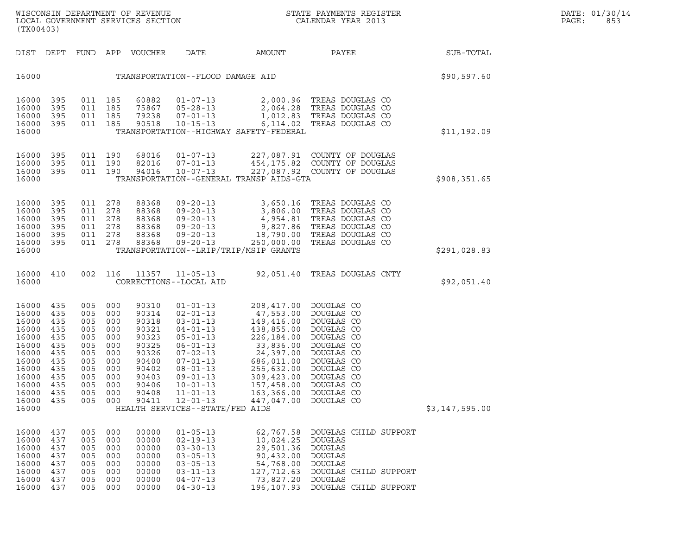WISCONSIN DEPARTMENT OF REVENUE<br>LOCAL GOVERNMENT SERVICES SECTION STATE PAYMENTS REGISTER SEGISTER DATE: 01/30/14<br>DOCAL GOVERNMENT SERVICES SECTION STATE SOLLENDAR YEAR 2013 WISCONSIN DEPARTMENT OF REVENUE<br>LOCAL GOVERNMENT SERVICES SECTION PARA PROPERTY STATE PAYMENTS REGISTER PAGE: PAGE: 853<br>(TX00403) (TX00403)

| (TX00403)                                                                                                                  |                                                                                         |                                                                                         |                                                                                         |                                                                                                                   |                                                                                                                                                                                                                                                                           |                                                                                                                                                                                 |                                                                                                                                                                                    |                |
|----------------------------------------------------------------------------------------------------------------------------|-----------------------------------------------------------------------------------------|-----------------------------------------------------------------------------------------|-----------------------------------------------------------------------------------------|-------------------------------------------------------------------------------------------------------------------|---------------------------------------------------------------------------------------------------------------------------------------------------------------------------------------------------------------------------------------------------------------------------|---------------------------------------------------------------------------------------------------------------------------------------------------------------------------------|------------------------------------------------------------------------------------------------------------------------------------------------------------------------------------|----------------|
| DIST                                                                                                                       | DEPT                                                                                    | FUND                                                                                    | APP                                                                                     | VOUCHER                                                                                                           | DATE                                                                                                                                                                                                                                                                      | AMOUNT                                                                                                                                                                          | PAYEE                                                                                                                                                                              | SUB-TOTAL      |
| 16000                                                                                                                      |                                                                                         |                                                                                         |                                                                                         |                                                                                                                   | TRANSPORTATION--FLOOD DAMAGE AID                                                                                                                                                                                                                                          |                                                                                                                                                                                 |                                                                                                                                                                                    | \$90,597.60    |
| 16000<br>16000<br>16000<br>16000<br>16000                                                                                  | 395<br>395<br>395<br>395                                                                | 011<br>011<br>011<br>011                                                                | 185<br>185<br>185<br>185                                                                | 60882<br>75867<br>79238<br>90518                                                                                  | $01 - 07 - 13$<br>$05 - 28 - 13$<br>$07 - 01 - 13$<br>$10 - 15 - 13$                                                                                                                                                                                                      | 2,064.28<br>1,012.83<br>6,114.02<br>TRANSPORTATION--HIGHWAY SAFETY-FEDERAL                                                                                                      | 2,000.96 TREAS DOUGLAS CO<br>TREAS DOUGLAS CO<br>TREAS DOUGLAS CO<br>TREAS DOUGLAS CO                                                                                              | \$11,192.09    |
| 16000<br>16000<br>16000<br>16000                                                                                           | 395<br>395<br>395                                                                       | 011<br>011<br>011                                                                       | 190<br>190<br>190                                                                       | 68016<br>82016<br>94016                                                                                           | $01 - 07 - 13$<br>$07 - 01 - 13$<br>$10 - 07 - 13$                                                                                                                                                                                                                        | 227,087.91<br>454,175.82<br>227,087.92<br>TRANSPORTATION--GENERAL TRANSP AIDS-GTA                                                                                               | COUNTY OF DOUGLAS<br>COUNTY OF DOUGLAS<br>COUNTY OF DOUGLAS                                                                                                                        | \$908, 351.65  |
| 16000<br>16000<br>16000<br>16000<br>16000<br>16000<br>16000                                                                | 395<br>395<br>395<br>395<br>395<br>395                                                  | 011<br>011<br>011<br>011<br>011<br>011                                                  | 278<br>278<br>278<br>278<br>278<br>278                                                  | 88368<br>88368<br>88368<br>88368<br>88368<br>88368                                                                | $09 - 20 - 13$<br>$09 - 20 - 13$<br>$09 - 20 - 13$<br>$09 - 20 - 13$<br>$09 - 20 - 13$<br>$09 - 20 - 13$                                                                                                                                                                  | 3,650.16<br>3,806.00<br>4,954.81<br>9,827.86<br>18,790.00<br>250,000.00<br>TRANSPORTATION--LRIP/TRIP/MSIP GRANTS                                                                | TREAS DOUGLAS CO<br>TREAS DOUGLAS CO<br>TREAS DOUGLAS CO<br>TREAS DOUGLAS CO<br>TREAS DOUGLAS CO<br>TREAS DOUGLAS CO                                                               | \$291,028.83   |
| 16000<br>16000                                                                                                             | 410                                                                                     | 002                                                                                     | 116                                                                                     | 11357                                                                                                             | $11 - 05 - 13$<br>CORRECTIONS--LOCAL AID                                                                                                                                                                                                                                  | 92,051.40                                                                                                                                                                       | TREAS DOUGLAS CNTY                                                                                                                                                                 | \$92,051.40    |
| 16000<br>16000<br>16000<br>16000<br>16000<br>16000<br>16000<br>16000<br>16000<br>16000<br>16000<br>16000<br>16000<br>16000 | 435<br>435<br>435<br>435<br>435<br>435<br>435<br>435<br>435<br>435<br>435<br>435<br>435 | 005<br>005<br>005<br>005<br>005<br>005<br>005<br>005<br>005<br>005<br>005<br>005<br>005 | 000<br>000<br>000<br>000<br>000<br>000<br>000<br>000<br>000<br>000<br>000<br>000<br>000 | 90310<br>90314<br>90318<br>90321<br>90323<br>90325<br>90326<br>90400<br>90402<br>90403<br>90406<br>90408<br>90411 | $01 - 01 - 13$<br>$02 - 01 - 13$<br>$03 - 01 - 13$<br>$04 - 01 - 13$<br>$05 - 01 - 13$<br>$06 - 01 - 13$<br>$07 - 02 - 13$<br>$07 - 01 - 13$<br>$08 - 01 - 13$<br>$09 - 01 - 13$<br>$10 - 01 - 13$<br>$11 - 01 - 13$<br>$12 - 01 - 13$<br>HEALTH SERVICES--STATE/FED AIDS | 208,417.00<br>47,553.00<br>149,416.00<br>438,855.00<br>226,184.00<br>33,836.00<br>24,397.00<br>686,011.00<br>255,632.00<br>309,423.00<br>157,458.00<br>163,366.00<br>447,047.00 | DOUGLAS CO<br>DOUGLAS CO<br>DOUGLAS CO<br>DOUGLAS CO<br>DOUGLAS CO<br>DOUGLAS CO<br>DOUGLAS CO<br>DOUGLAS CO<br>DOUGLAS CO<br>DOUGLAS CO<br>DOUGLAS CO<br>DOUGLAS CO<br>DOUGLAS CO | \$3,147,595.00 |
| 16000<br>16000<br>16000<br>16000<br>16000<br>16000<br>16000<br>16000                                                       | 437<br>437<br>437<br>437<br>437<br>437<br>437<br>437                                    | 005<br>005<br>005<br>005<br>005<br>005<br>005<br>005                                    | 000<br>000<br>000<br>000<br>000<br>000<br>000<br>000                                    | 00000<br>00000<br>00000<br>00000<br>00000<br>00000<br>00000<br>00000                                              | $01 - 05 - 13$<br>$02 - 19 - 13$<br>$03 - 30 - 13$<br>$03 - 05 - 13$<br>$03 - 05 - 13$<br>$03 - 11 - 13$<br>$04 - 07 - 13$<br>$04 - 30 - 13$                                                                                                                              | 62,767.58<br>10,024.25<br>29,501.36<br>90,432.00<br>54,768.00<br>127,712.63<br>73,827.20<br>196,107.93                                                                          | DOUGLAS CHILD SUPPORT<br><b>DOUGLAS</b><br><b>DOUGLAS</b><br><b>DOUGLAS</b><br><b>DOUGLAS</b><br>DOUGLAS CHILD SUPPORT<br><b>DOUGLAS</b><br>DOUGLAS CHILD SUPPORT                  |                |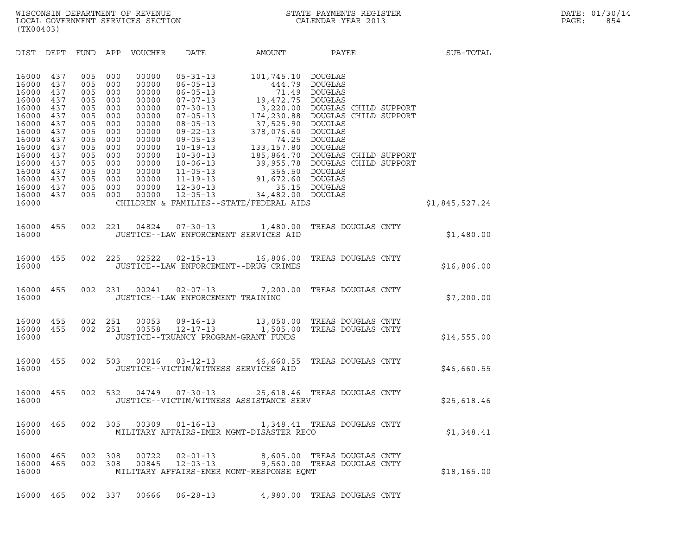| (TX00403)                                                                                                                                             |                                                                                                              |                                                                                                              |                                                                                                              |                                                                                                                                              |                                                                                                                                                                                                                                                                                              |                                                                                                                                                                                                                                       |                                                                                                                                                                                                                     |                |  |
|-------------------------------------------------------------------------------------------------------------------------------------------------------|--------------------------------------------------------------------------------------------------------------|--------------------------------------------------------------------------------------------------------------|--------------------------------------------------------------------------------------------------------------|----------------------------------------------------------------------------------------------------------------------------------------------|----------------------------------------------------------------------------------------------------------------------------------------------------------------------------------------------------------------------------------------------------------------------------------------------|---------------------------------------------------------------------------------------------------------------------------------------------------------------------------------------------------------------------------------------|---------------------------------------------------------------------------------------------------------------------------------------------------------------------------------------------------------------------|----------------|--|
| DIST                                                                                                                                                  | DEPT                                                                                                         | FUND APP                                                                                                     |                                                                                                              | VOUCHER                                                                                                                                      | DATE                                                                                                                                                                                                                                                                                         | AMOUNT                                                                                                                                                                                                                                | PAYEE                                                                                                                                                                                                               | SUB-TOTAL      |  |
| 16000<br>16000<br>16000<br>16000<br>16000<br>16000<br>16000<br>16000<br>16000<br>16000<br>16000<br>16000<br>16000<br>16000<br>16000<br>16000<br>16000 | 437<br>437<br>437<br>437<br>437<br>437<br>437<br>437<br>437<br>437<br>437<br>437<br>437<br>437<br>437<br>437 | 005<br>005<br>005<br>005<br>005<br>005<br>005<br>005<br>005<br>005<br>005<br>005<br>005<br>005<br>005<br>005 | 000<br>000<br>000<br>000<br>000<br>000<br>000<br>000<br>000<br>000<br>000<br>000<br>000<br>000<br>000<br>000 | 00000<br>00000<br>00000<br>00000<br>00000<br>00000<br>00000<br>00000<br>00000<br>00000<br>00000<br>00000<br>00000<br>00000<br>00000<br>00000 | $05 - 31 - 13$<br>$06 - 05 - 13$<br>$06 - 05 - 13$<br>$07 - 07 - 13$<br>$07 - 30 - 13$<br>$07 - 05 - 13$<br>$08 - 05 - 13$<br>$09 - 22 - 13$<br>$09 - 05 - 13$<br>$10 - 19 - 13$<br>$10 - 30 - 13$<br>$10 - 06 - 13$<br>$11 - 05 - 13$<br>$11 - 19 - 13$<br>$12 - 30 - 13$<br>$12 - 05 - 13$ | 101,745.10 DOUGLAS<br>444.79<br>71.49<br>19,472.75<br>3,220.00<br>174,230.88<br>37,525.90<br>378,076.60<br>74.25<br>133,157.80 DOUGLAS<br>356.50<br>91,672.60 DOUGLAS<br>34,482.00 DOUGLAS<br>CHILDREN & FAMILIES--STATE/FEDERAL AIDS | DOUGLAS<br>DOUGLAS<br>DOUGLAS<br>DOUGLAS CHILD SUPPORT<br>DOUGLAS CHILD SUPPORT<br>DOUGLAS<br>DOUGLAS<br>DOUGLAS<br>185,864.70 DOUGLAS CHILD SUPPORT<br>39,955.78 DOUGLAS CHILD SUPPORT<br>DOUGLAS<br>35.15 DOUGLAS | \$1,845,527.24 |  |
| 16000<br>16000                                                                                                                                        | 455                                                                                                          | 002                                                                                                          | 221                                                                                                          | 04824                                                                                                                                        | $07 - 30 - 13$                                                                                                                                                                                                                                                                               | 1,480.00<br>JUSTICE--LAW ENFORCEMENT SERVICES AID                                                                                                                                                                                     | TREAS DOUGLAS CNTY                                                                                                                                                                                                  | \$1,480.00     |  |
| 16000<br>16000                                                                                                                                        | 455                                                                                                          | 002                                                                                                          | 225                                                                                                          | 02522                                                                                                                                        | $02 - 15 - 13$                                                                                                                                                                                                                                                                               | 16,806.00<br>JUSTICE--LAW ENFORCEMENT--DRUG CRIMES                                                                                                                                                                                    | TREAS DOUGLAS CNTY                                                                                                                                                                                                  | \$16,806.00    |  |
| 16000<br>16000                                                                                                                                        | 455                                                                                                          | 002                                                                                                          | 231                                                                                                          | 00241                                                                                                                                        | $02 - 07 - 13$<br>JUSTICE--LAW ENFORCEMENT TRAINING                                                                                                                                                                                                                                          | 7,200.00                                                                                                                                                                                                                              | TREAS DOUGLAS CNTY                                                                                                                                                                                                  | \$7,200.00     |  |
| 16000<br>16000<br>16000                                                                                                                               | 455<br>455                                                                                                   | 002<br>002                                                                                                   | 251<br>251                                                                                                   | 00053<br>00558                                                                                                                               | $09 - 16 - 13$<br>$12 - 17 - 13$<br>JUSTICE--TRUANCY PROGRAM-GRANT FUNDS                                                                                                                                                                                                                     | 1,505.00                                                                                                                                                                                                                              | 13,050.00 TREAS DOUGLAS CNTY<br>TREAS DOUGLAS CNTY                                                                                                                                                                  | \$14,555.00    |  |
| 16000<br>16000                                                                                                                                        | 455                                                                                                          | 002                                                                                                          | 503                                                                                                          | 00016                                                                                                                                        | $03 - 12 - 13$<br>JUSTICE--VICTIM/WITNESS SERVICES AID                                                                                                                                                                                                                                       | 46,660.55                                                                                                                                                                                                                             | TREAS DOUGLAS CNTY                                                                                                                                                                                                  | \$46,660.55    |  |
| 16000<br>16000                                                                                                                                        | 455                                                                                                          | 002                                                                                                          | 532                                                                                                          | 04749                                                                                                                                        | $07 - 30 - 13$                                                                                                                                                                                                                                                                               | JUSTICE--VICTIM/WITNESS ASSISTANCE SERV                                                                                                                                                                                               | 25,618.46 TREAS DOUGLAS CNTY                                                                                                                                                                                        | \$25,618.46    |  |
| 16000<br>16000                                                                                                                                        | 465                                                                                                          |                                                                                                              | 002 305                                                                                                      | 00309                                                                                                                                        | $01 - 16 - 13$                                                                                                                                                                                                                                                                               | MILITARY AFFAIRS-EMER MGMT-DISASTER RECO                                                                                                                                                                                              | 1,348.41 TREAS DOUGLAS CNTY                                                                                                                                                                                         | \$1,348.41     |  |
| 16000<br>16000<br>16000                                                                                                                               | 465<br>465                                                                                                   | 002<br>002                                                                                                   | 308<br>308                                                                                                   | 00722<br>00845                                                                                                                               | $02 - 01 - 13$<br>$12 - 03 - 13$                                                                                                                                                                                                                                                             | MILITARY AFFAIRS-EMER MGMT-RESPONSE EQMT                                                                                                                                                                                              | 8,605.00 TREAS DOUGLAS CNTY<br>9,560.00 TREAS DOUGLAS CNTY                                                                                                                                                          | \$18, 165.00   |  |
| 16000 465                                                                                                                                             |                                                                                                              |                                                                                                              | 002 337                                                                                                      | 00666                                                                                                                                        | $06 - 28 - 13$                                                                                                                                                                                                                                                                               |                                                                                                                                                                                                                                       | 4,980.00 TREAS DOUGLAS CNTY                                                                                                                                                                                         |                |  |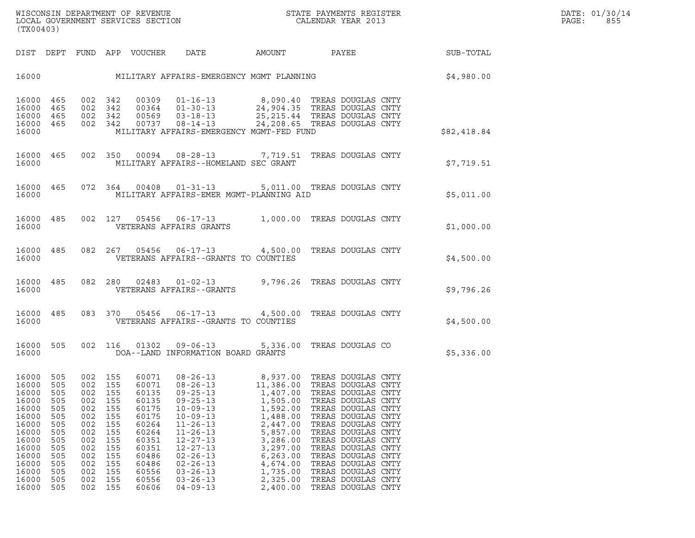|                                                                                                                                     | DIST DEPT                                                                                             |                                                                                                |                                                                                                           |                                                                                                                                     |                                                                                                                                                                                                                                                                                                                                                                   |                                                                                                                       |                                                                                                                                                                                                                                                                                         | SUB-TOTAL   |  |
|-------------------------------------------------------------------------------------------------------------------------------------|-------------------------------------------------------------------------------------------------------|------------------------------------------------------------------------------------------------|-----------------------------------------------------------------------------------------------------------|-------------------------------------------------------------------------------------------------------------------------------------|-------------------------------------------------------------------------------------------------------------------------------------------------------------------------------------------------------------------------------------------------------------------------------------------------------------------------------------------------------------------|-----------------------------------------------------------------------------------------------------------------------|-----------------------------------------------------------------------------------------------------------------------------------------------------------------------------------------------------------------------------------------------------------------------------------------|-------------|--|
| 16000                                                                                                                               |                                                                                                       |                                                                                                |                                                                                                           |                                                                                                                                     | MILITARY AFFAIRS-EMERGENCY MGMT PLANNING                                                                                                                                                                                                                                                                                                                          |                                                                                                                       |                                                                                                                                                                                                                                                                                         | \$4,980.00  |  |
| 16000<br>16000<br>16000<br>16000<br>16000                                                                                           | 465<br>465<br>465<br>465                                                                              | 002<br>002                                                                                     | 002 342<br>342                                                                                            | 00309                                                                                                                               | $01 - 16 - 13$<br>00364  01-30-13  24,904.35  TREAS DOUGLAS CNTY<br>00569  03-18-13  25,215.44  TREAS DOUGLAS CNTY<br>342 00569 03-18-13<br>002 342 00737 08-14-13 24,208.65 TREAS DOUGLAS CNTY<br>MILITARY AFFAIRS-EMERGENCY MGMT-FED FUND                                                                                                                       |                                                                                                                       | 8,090.40 TREAS DOUGLAS CNTY                                                                                                                                                                                                                                                             | \$82,418.84 |  |
| 16000<br>16000                                                                                                                      | 465                                                                                                   | 002                                                                                            |                                                                                                           |                                                                                                                                     | 350  00094  08-28-13  7,719.51  TREAS DOUGLAS CNTY<br>MILITARY AFFAIRS--HOMELAND SEC GRANT                                                                                                                                                                                                                                                                        |                                                                                                                       |                                                                                                                                                                                                                                                                                         | \$7,719.51  |  |
| 16000<br>16000                                                                                                                      | 465                                                                                                   |                                                                                                |                                                                                                           |                                                                                                                                     | 072 364 00408 01-31-13 5,011.00 TREAS DOUGLAS CNTY<br>MILITARY AFFAIRS-EMER MGMT-PLANNING AID                                                                                                                                                                                                                                                                     |                                                                                                                       |                                                                                                                                                                                                                                                                                         | \$5,011.00  |  |
| 16000<br>16000                                                                                                                      | 485                                                                                                   | 002                                                                                            | 127                                                                                                       |                                                                                                                                     | 05456 06-17-13<br>VETERANS AFFAIRS GRANTS                                                                                                                                                                                                                                                                                                                         |                                                                                                                       | 1,000.00 TREAS DOUGLAS CNTY                                                                                                                                                                                                                                                             | \$1,000.00  |  |
| 16000<br>16000                                                                                                                      | 485                                                                                                   |                                                                                                |                                                                                                           |                                                                                                                                     | 082  267  05456  06-17-13  4,500.00  TREAS DOUGLAS CNTY<br>VETERANS AFFAIRS--GRANTS TO COUNTIES                                                                                                                                                                                                                                                                   |                                                                                                                       |                                                                                                                                                                                                                                                                                         | \$4,500.00  |  |
| 16000<br>16000                                                                                                                      | 485                                                                                                   | 082                                                                                            | 280                                                                                                       |                                                                                                                                     | 02483  01-02-13  9,796.26  TREAS DOUGLAS CNTY<br>VETERANS AFFAIRS--GRANTS                                                                                                                                                                                                                                                                                         |                                                                                                                       |                                                                                                                                                                                                                                                                                         | \$9,796.26  |  |
| 16000<br>16000                                                                                                                      | 485                                                                                                   |                                                                                                | 083 370                                                                                                   |                                                                                                                                     | 05456 06-17-13 4,500.00<br>VETERANS AFFAIRS--GRANTS TO COUNTIES                                                                                                                                                                                                                                                                                                   |                                                                                                                       | TREAS DOUGLAS CNTY                                                                                                                                                                                                                                                                      | \$4,500.00  |  |
| 16000<br>16000                                                                                                                      | 505                                                                                                   | 002                                                                                            | 116                                                                                                       |                                                                                                                                     | 01302 09-06-13 5,336.00<br>DOA--LAND INFORMATION BOARD GRANTS                                                                                                                                                                                                                                                                                                     |                                                                                                                       | TREAS DOUGLAS CO                                                                                                                                                                                                                                                                        | \$5,336.00  |  |
| 16000<br>16000<br>16000<br>16000<br>16000<br>16000<br>16000<br>16000<br>16000<br>16000<br>16000<br>16000<br>16000<br>16000<br>16000 | 505<br>505<br>505<br>505<br>505<br>505<br>505<br>505<br>505<br>505<br>505<br>505<br>505<br>505<br>505 | 002<br>002<br>002<br>002<br>002<br>002<br>002<br>002<br>002<br>002<br>002<br>002<br>002<br>002 | 155<br>155<br>155<br>155<br>002 155<br>155<br>155<br>155<br>155<br>155<br>155<br>155<br>155<br>155<br>155 | 60071<br>60071<br>60135<br>60135<br>60175<br>60175<br>60264<br>60264<br>60351<br>60351<br>60486<br>60486<br>60556<br>60556<br>60606 | $08 - 26 - 13$<br>$08 - 26 - 13$<br>09-25-13<br>09-25-13<br>09-25-13<br>1,505.00 TREAS DOUGLAS CNTY<br>1,502.00 TREAS DOUGLAS CNTY<br>10-09-13<br>1,592.00 TREAS DOUGLAS CNTY<br>$10 - 09 - 13$<br>$11 - 26 - 13$<br>$11 - 26 - 13$<br>$12 - 27 - 13$<br>$12 - 27 - 13$<br>$02 - 26 - 13$<br>$02 - 26 - 13$<br>$03 - 26 - 13$<br>$03 - 26 - 13$<br>$04 - 09 - 13$ | 1,488.00<br>2,447.00<br>5,857.00<br>3,286.00<br>3,297.00<br>6, 263.00<br>4,674.00<br>1,735.00<br>2,325.00<br>2,400.00 | 8,937.00 TREAS DOUGLAS CNTY<br>11,386.00 TREAS DOUGLAS CNTY<br>TREAS DOUGLAS CNTY<br>TREAS DOUGLAS CNTY<br>TREAS DOUGLAS CNTY<br>TREAS DOUGLAS CNTY<br>TREAS DOUGLAS CNTY<br>TREAS DOUGLAS CNTY<br>TREAS DOUGLAS CNTY<br>TREAS DOUGLAS CNTY<br>TREAS DOUGLAS CNTY<br>TREAS DOUGLAS CNTY |             |  |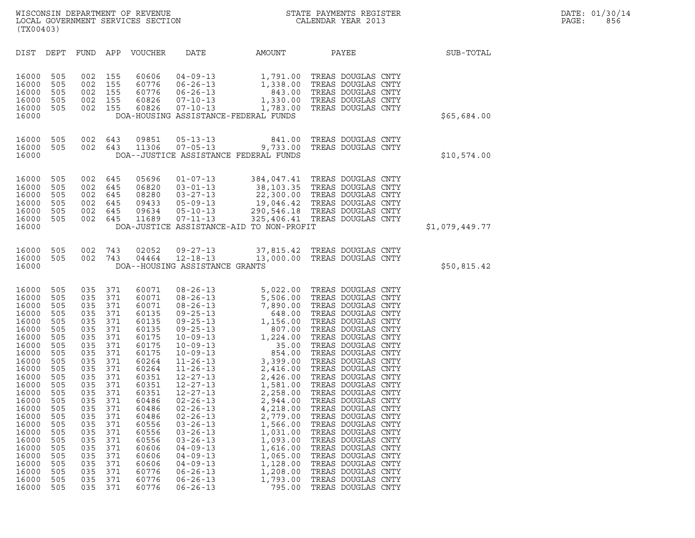| STATE PAYMENTS REGISTER |                    |  |  |
|-------------------------|--------------------|--|--|
|                         | CALENDAR YEAR 2013 |  |  |

| (TX00403)                                                                                                                                                                                                                              |                                                                                                                                                                                    |                                                                                                                                                                                    |                                                                                                                                                                                    |                                                                                                                                                                                                                                        |                                                                                                                                                                                                                                                                                                                                                                                                                                                                                  |                                                                                                                                                                                                                                                                                                           |                                                                                                                                                                                                                                                                                                                                                                                                                                                                                                                                                                                          |                |
|----------------------------------------------------------------------------------------------------------------------------------------------------------------------------------------------------------------------------------------|------------------------------------------------------------------------------------------------------------------------------------------------------------------------------------|------------------------------------------------------------------------------------------------------------------------------------------------------------------------------------|------------------------------------------------------------------------------------------------------------------------------------------------------------------------------------|----------------------------------------------------------------------------------------------------------------------------------------------------------------------------------------------------------------------------------------|----------------------------------------------------------------------------------------------------------------------------------------------------------------------------------------------------------------------------------------------------------------------------------------------------------------------------------------------------------------------------------------------------------------------------------------------------------------------------------|-----------------------------------------------------------------------------------------------------------------------------------------------------------------------------------------------------------------------------------------------------------------------------------------------------------|------------------------------------------------------------------------------------------------------------------------------------------------------------------------------------------------------------------------------------------------------------------------------------------------------------------------------------------------------------------------------------------------------------------------------------------------------------------------------------------------------------------------------------------------------------------------------------------|----------------|
| DIST                                                                                                                                                                                                                                   | DEPT                                                                                                                                                                               | FUND                                                                                                                                                                               | APP                                                                                                                                                                                | VOUCHER                                                                                                                                                                                                                                | DATE                                                                                                                                                                                                                                                                                                                                                                                                                                                                             | AMOUNT                                                                                                                                                                                                                                                                                                    | PAYEE                                                                                                                                                                                                                                                                                                                                                                                                                                                                                                                                                                                    | SUB-TOTAL      |
| 16000<br>16000<br>16000<br>16000<br>16000<br>16000                                                                                                                                                                                     | 505<br>505<br>505<br>505<br>505                                                                                                                                                    | 002<br>002<br>002<br>002<br>002                                                                                                                                                    | 155<br>155<br>155<br>155<br>155                                                                                                                                                    | 60606<br>60776<br>60776<br>60826<br>60826                                                                                                                                                                                              | $04 - 09 - 13$<br>$06 - 26 - 13$<br>$06 - 26 - 13$<br>$07 - 10 - 13$<br>$07 - 10 - 13$                                                                                                                                                                                                                                                                                                                                                                                           | 1,791.00<br>1,338.00<br>843.00<br>1,330.00<br>1,783.00<br>DOA-HOUSING ASSISTANCE-FEDERAL FUNDS                                                                                                                                                                                                            | TREAS DOUGLAS CNTY<br>TREAS DOUGLAS CNTY<br>TREAS DOUGLAS CNTY<br>TREAS DOUGLAS CNTY<br>TREAS DOUGLAS CNTY                                                                                                                                                                                                                                                                                                                                                                                                                                                                               | \$65,684.00    |
| 16000<br>16000<br>16000                                                                                                                                                                                                                | 505<br>505                                                                                                                                                                         | 002<br>002                                                                                                                                                                         | 643<br>643                                                                                                                                                                         | 09851<br>11306                                                                                                                                                                                                                         | $05 - 13 - 13$<br>$07 - 05 - 13$                                                                                                                                                                                                                                                                                                                                                                                                                                                 | 841.00<br>9,733.00<br>DOA--JUSTICE ASSISTANCE FEDERAL FUNDS                                                                                                                                                                                                                                               | TREAS DOUGLAS CNTY<br>TREAS DOUGLAS CNTY                                                                                                                                                                                                                                                                                                                                                                                                                                                                                                                                                 | \$10,574.00    |
| 16000<br>16000<br>16000<br>16000<br>16000<br>16000<br>16000                                                                                                                                                                            | 505<br>505<br>505<br>505<br>505<br>505                                                                                                                                             | 002<br>002<br>002<br>002<br>002<br>002                                                                                                                                             | 645<br>645<br>645<br>645<br>645<br>645                                                                                                                                             | 05696<br>06820<br>08280<br>09433<br>09634<br>11689                                                                                                                                                                                     | $01 - 07 - 13$<br>$03 - 01 - 13$<br>$03 - 27 - 13$<br>$05 - 09 - 13$<br>$05 - 10 - 13$<br>07-11-13                                                                                                                                                                                                                                                                                                                                                                               | DOA-JUSTICE ASSISTANCE-AID TO NON-PROFIT                                                                                                                                                                                                                                                                  | 384,047.41 TREAS DOUGLAS CNTY<br>38, 103.35 TREAS DOUGLAS CNTY<br>22, 300.00 TREAS DOUGLAS CNTY<br>22, 300.00 TREAS DOUGLAS CNTY<br>19, 046.42 TREAS DOUGLAS CNTY<br>290, 546.18 TREAS DOUGLAS CNTY<br>325, 406.41 TREAS DOUGLAS CNTY                                                                                                                                                                                                                                                                                                                                                    | \$1,079,449.77 |
| 16000<br>16000<br>16000                                                                                                                                                                                                                | 505<br>505                                                                                                                                                                         | 002<br>002                                                                                                                                                                         | 743<br>743                                                                                                                                                                         | 02052<br>04464                                                                                                                                                                                                                         | 09-27-13<br>$12 - 18 - 13$<br>DOA--HOUSING ASSISTANCE GRANTS                                                                                                                                                                                                                                                                                                                                                                                                                     | 37,815.42<br>13,000.00                                                                                                                                                                                                                                                                                    | TREAS DOUGLAS CNTY<br>TREAS DOUGLAS CNTY                                                                                                                                                                                                                                                                                                                                                                                                                                                                                                                                                 | \$50,815.42    |
| 16000<br>16000<br>16000<br>16000<br>16000<br>16000<br>16000<br>16000<br>16000<br>16000<br>16000<br>16000<br>16000<br>16000<br>16000<br>16000<br>16000<br>16000<br>16000<br>16000<br>16000<br>16000<br>16000<br>16000<br>16000<br>16000 | 505<br>505<br>505<br>505<br>505<br>505<br>505<br>505<br>505<br>505<br>505<br>505<br>505<br>505<br>505<br>505<br>505<br>505<br>505<br>505<br>505<br>505<br>505<br>505<br>505<br>505 | 035<br>035<br>035<br>035<br>035<br>035<br>035<br>035<br>035<br>035<br>035<br>035<br>035<br>035<br>035<br>035<br>035<br>035<br>035<br>035<br>035<br>035<br>035<br>035<br>035<br>035 | 371<br>371<br>371<br>371<br>371<br>371<br>371<br>371<br>371<br>371<br>371<br>371<br>371<br>371<br>371<br>371<br>371<br>371<br>371<br>371<br>371<br>371<br>371<br>371<br>371<br>371 | 60071<br>60071<br>60071<br>60135<br>60135<br>60135<br>60175<br>60175<br>60175<br>60264<br>60264<br>60351<br>60351<br>60351<br>60486<br>60486<br>60486<br>60556<br>60556<br>60556<br>60606<br>60606<br>60606<br>60776<br>60776<br>60776 | $08 - 26 - 13$<br>$08 - 26 - 13$<br>$08 - 26 - 13$<br>$09 - 25 - 13$<br>$09 - 25 - 13$<br>$09 - 25 - 13$<br>$10 - 09 - 13$<br>$10 - 09 - 13$<br>$10 - 09 - 13$<br>$11 - 26 - 13$<br>$11 - 26 - 13$<br>$12 - 27 - 13$<br>$12 - 27 - 13$<br>$12 - 27 - 13$<br>$02 - 26 - 13$<br>$02 - 26 - 13$<br>$02 - 26 - 13$<br>$03 - 26 - 13$<br>$03 - 26 - 13$<br>$03 - 26 - 13$<br>$04 - 09 - 13$<br>$04 - 09 - 13$<br>$04 - 09 - 13$<br>$06 - 26 - 13$<br>$06 - 26 - 13$<br>$06 - 26 - 13$ | 5,022.00<br>5,506.00<br>7,890.00<br>648.00<br>1,156.00<br>807.00<br>1,224.00<br>35.00<br>854.00<br>3,399.00<br>2,416.00<br>2,426.00<br>1,581.00<br>2,258.00<br>2,944.00<br>4,218.00<br>2,779.00<br>1,566.00<br>1,031.00<br>1,093.00<br>1,616.00<br>1,065.00<br>1,128.00<br>1,208.00<br>1,793.00<br>795.00 | TREAS DOUGLAS CNTY<br>TREAS DOUGLAS CNTY<br>TREAS DOUGLAS CNTY<br>TREAS DOUGLAS CNTY<br>TREAS DOUGLAS CNTY<br>TREAS DOUGLAS CNTY<br>TREAS DOUGLAS CNTY<br>TREAS DOUGLAS CNTY<br>TREAS DOUGLAS CNTY<br>TREAS DOUGLAS CNTY<br>TREAS DOUGLAS CNTY<br>TREAS DOUGLAS CNTY<br>TREAS DOUGLAS CNTY<br>TREAS DOUGLAS CNTY<br>TREAS DOUGLAS CNTY<br>TREAS DOUGLAS CNTY<br>TREAS DOUGLAS CNTY<br>TREAS DOUGLAS CNTY<br>TREAS DOUGLAS CNTY<br>TREAS DOUGLAS CNTY<br>TREAS DOUGLAS CNTY<br>TREAS DOUGLAS CNTY<br>TREAS DOUGLAS CNTY<br>TREAS DOUGLAS CNTY<br>TREAS DOUGLAS CNTY<br>TREAS DOUGLAS CNTY |                |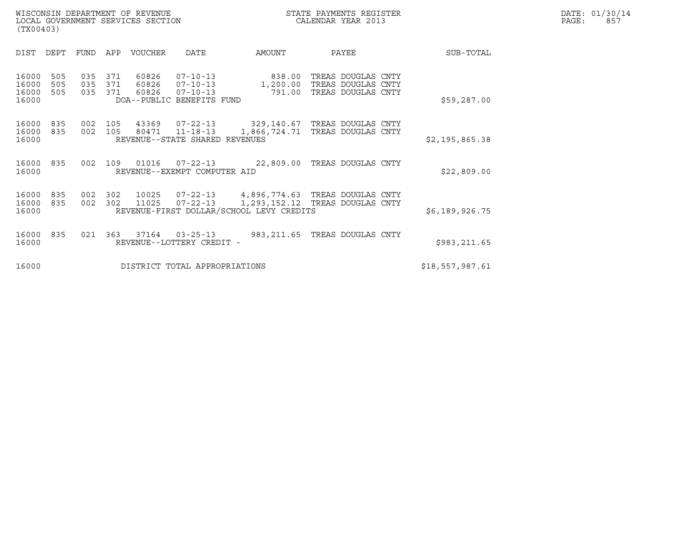| WISCONSIN DEPARTMENT OF REVENUE<br>LOCAL GOVERNMENT SERVICES SECTION<br>(TX00403) |                   |                   |                   |                         |                                                                                 |                              | STATE PAYMENTS REGISTER<br>CALENDAR YEAR 2013                  | DATE: 01/30/14<br>PAGE:<br>857 |  |
|-----------------------------------------------------------------------------------|-------------------|-------------------|-------------------|-------------------------|---------------------------------------------------------------------------------|------------------------------|----------------------------------------------------------------|--------------------------------|--|
| DIST                                                                              | DEPT              | FUND              | APP               | <b>VOUCHER</b>          | DATE                                                                            | AMOUNT                       | PAYEE                                                          | SUB-TOTAL                      |  |
| 16000<br>16000<br>16000<br>16000                                                  | 505<br>505<br>505 | 035<br>035<br>035 | 371<br>371<br>371 | 60826<br>60826<br>60826 | $07 - 10 - 13$<br>$07 - 10 - 13$<br>$07 - 10 - 13$<br>DOA--PUBLIC BENEFITS FUND | 838.00<br>1,200.00<br>791.00 | TREAS DOUGLAS CNTY<br>TREAS DOUGLAS CNTY<br>TREAS DOUGLAS CNTY | \$59,287.00                    |  |
| 16000<br>16000<br>16000                                                           | 835<br>835        | 002<br>002        | 105<br>105        | 43369<br>80471          | $07 - 22 - 13$<br>$11 - 18 - 13$<br>REVENUE--STATE SHARED REVENUES              | 329,140.67<br>1,866,724.71   | TREAS DOUGLAS CNTY<br>TREAS DOUGLAS CNTY                       | \$2,195,865.38                 |  |

| 16000              |         |  | REVENUE--STATE SHARED REVENUES                  |                              | S2,195,865.38 |
|--------------------|---------|--|-------------------------------------------------|------------------------------|---------------|
| 16000 835<br>16000 | 002 109 |  | 01016  07-22-13<br>REVENUE--EXEMPT COMPUTER AID | 22,809.00 TREAS DOUGLAS CNTY | \$22,809.00   |

| 16000     | REVENUE--EXEMPT COMPUTER AID             |                                                        | S22,809.00     |
|-----------|------------------------------------------|--------------------------------------------------------|----------------|
| 16000 835 | 16000 835 002 302 10025 07-22-13         | 4,896,774.63 TREAS DOUGLAS CNTY                        | \$6,189,926.75 |
| 16000     | REVENUE-FIRST DOLLAR/SCHOOL LEVY CREDITS | 002 302 11025 07-22-13 1,293,152.12 TREAS DOUGLAS CNTY |                |

| 16000 | REVENUE-FIRST DOLLAR/SCHOOL LEVY CREDITS |  |  |  |                                                               |  |                               | S6,189,926.75 |
|-------|------------------------------------------|--|--|--|---------------------------------------------------------------|--|-------------------------------|---------------|
| 16000 |                                          |  |  |  | 16000 835 021 363 37164 03-25-13<br>REVENUE--LOTTERY CREDIT - |  | 983,211.65 TREAS DOUGLAS CNTY | \$983,211.65  |

16000 REVENUE--LOTTERY CREDIT -<br>16000 DISTRICT TOTAL APPROPRIATIONS \$18,557,987.61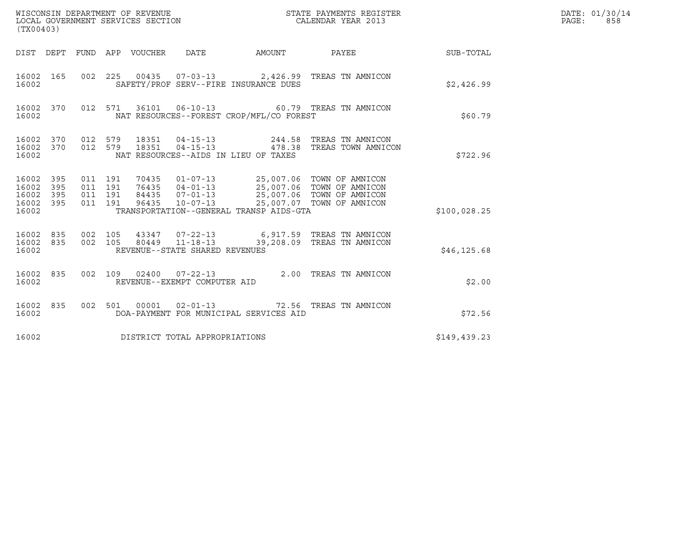| (TX00403)                                         |            |                                          |         |       | WISCONSIN DEPARTMENT OF REVENUE<br>LOCAL GOVERNMENT SERVICES SECTION |                                                               | STATE PAYMENTS REGISTER<br>CALENDAR YEAR 2013                                                                                                                                 |               | DATE: 01/30/14<br>$\mathtt{PAGE}$ :<br>858 |
|---------------------------------------------------|------------|------------------------------------------|---------|-------|----------------------------------------------------------------------|---------------------------------------------------------------|-------------------------------------------------------------------------------------------------------------------------------------------------------------------------------|---------------|--------------------------------------------|
|                                                   |            |                                          |         |       |                                                                      |                                                               | DIST DEPT FUND APP VOUCHER DATE AMOUNT PAYEE THE SUB-TOTAL                                                                                                                    |               |                                            |
| 16002 165<br>16002                                |            |                                          |         |       |                                                                      | SAFETY/PROF SERV--FIRE INSURANCE DUES                         | 002 225 00435 07-03-13 2,426.99 TREAS TN AMNICON                                                                                                                              | \$2,426.99    |                                            |
| 16002 370<br>16002                                |            |                                          |         |       |                                                                      | NAT RESOURCES--FOREST CROP/MFL/CO FOREST                      | 012 571 36101 06-10-13 60.79 TREAS TN AMNICON                                                                                                                                 | \$60.79       |                                            |
| 16002 370<br>16002 370<br>16002                   |            | 012 579<br>012 579                       |         | 18351 |                                                                      | $04 - 15 - 13$ 478.38<br>NAT RESOURCES--AIDS IN LIEU OF TAXES | 18351  04-15-13  244.58  TREAS TN AMNICON<br>TREAS TOWN AMNICON                                                                                                               | \$722.96      |                                            |
| 16002 395<br>16002<br>16002<br>16002 395<br>16002 | 395<br>395 | 011 191<br>011 191<br>011 191<br>011 191 |         |       |                                                                      | TRANSPORTATION--GENERAL TRANSP AIDS-GTA                       | 70435  01-07-13  25,007.06  TOWN OF AMNICON<br>76435 04-01-13<br>84435 07-01-13<br>96435 10-07-13<br>25,007.06 TOWN OF AMNICON<br>96435 10-07-13<br>25,007.06 TOWN OF AMNICON | \$100,028.25  |                                            |
| 16002 835<br>16002 835<br>16002                   |            | 002 105                                  | 002 105 |       | REVENUE--STATE SHARED REVENUES                                       |                                                               | 43347  07-22-13   6,917.59   TREAS TN AMNICON<br>80449  11-18-13  39,208.09  TREAS TN AMNICON                                                                                 | \$46, 125.68  |                                            |
| 16002 835<br>16002                                |            |                                          |         |       | REVENUE--EXEMPT COMPUTER AID                                         |                                                               | 002 109 02400 07-22-13 2.00 TREAS TN AMNICON                                                                                                                                  | \$2.00        |                                            |
| 16002 835<br>16002                                |            |                                          |         |       |                                                                      | DOA-PAYMENT FOR MUNICIPAL SERVICES AID                        | 002 501 00001 02-01-13 72.56 TREAS TN AMNICON                                                                                                                                 | \$72.56       |                                            |
| 16002                                             |            |                                          |         |       | DISTRICT TOTAL APPROPRIATIONS                                        |                                                               |                                                                                                                                                                               | \$149, 439.23 |                                            |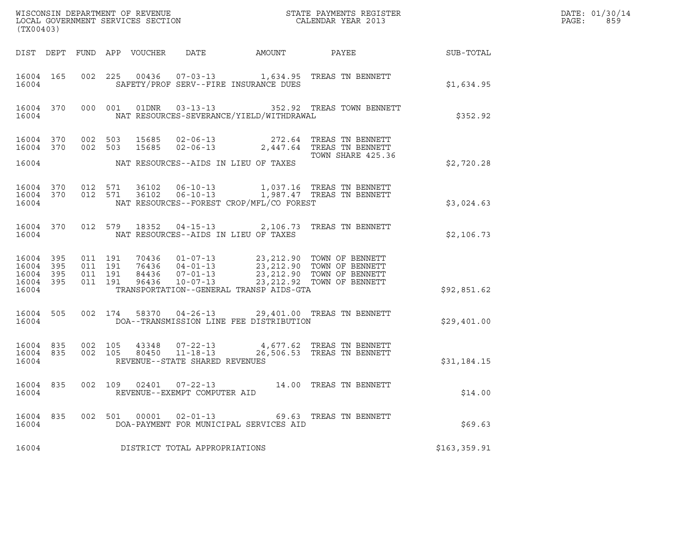| (TX00403)                                                 |  |                               |         |                            |                                                                    |                                          |                                                                                                                                                                                          |                  | DATE: 01/30/14<br>PAGE:<br>859 |
|-----------------------------------------------------------|--|-------------------------------|---------|----------------------------|--------------------------------------------------------------------|------------------------------------------|------------------------------------------------------------------------------------------------------------------------------------------------------------------------------------------|------------------|--------------------------------|
|                                                           |  |                               |         | DIST DEPT FUND APP VOUCHER | DATE                                                               | AMOUNT                                   | PAYEE                                                                                                                                                                                    | <b>SUB-TOTAL</b> |                                |
| 16004 165<br>16004                                        |  |                               |         |                            |                                                                    | SAFETY/PROF SERV--FIRE INSURANCE DUES    | 002 225 00436 07-03-13 1,634.95 TREAS TN BENNETT                                                                                                                                         | \$1,634.95       |                                |
| 16004 370 000 001<br>16004                                |  |                               |         |                            |                                                                    | NAT RESOURCES-SEVERANCE/YIELD/WITHDRAWAL | 01DNR  03-13-13    352.92    TREAS TOWN BENNETT                                                                                                                                          | \$352.92         |                                |
| 16004 370 002 503<br>16004 370                            |  | 002 503                       |         |                            | 15685 02-06-13                                                     |                                          | 15685 02-06-13 272.64 TREAS TN BENNETT<br>2,447.64 TREAS TN BENNETT                                                                                                                      |                  |                                |
| 16004                                                     |  |                               |         |                            |                                                                    | NAT RESOURCES--AIDS IN LIEU OF TAXES     | TOWN SHARE 425.36                                                                                                                                                                        | \$2,720.28       |                                |
| 16004 370 012 571<br>16004 370<br>16004                   |  | 012 571                       |         |                            |                                                                    | NAT RESOURCES--FOREST CROP/MFL/CO FOREST | 36102  06-10-13  1,987.47 TREAS TN BENNETT                                                                                                                                               | \$3,024.63       |                                |
| 16004 370<br>16004                                        |  |                               |         |                            |                                                                    | NAT RESOURCES--AIDS IN LIEU OF TAXES     | 012 579 18352 04-15-13 2,106.73 TREAS TN BENNETT                                                                                                                                         | \$2,106.73       |                                |
| 16004 395<br>16004 395<br>16004 395<br>16004 395<br>16004 |  | 011 191<br>011 191<br>011 191 | 011 191 |                            |                                                                    | TRANSPORTATION--GENERAL TRANSP AIDS-GTA  | 70436  01-07-13  23,212.90  TOWN OF BENNETT<br>76436  04-01-13  23,212.90  TOWN OF BENNETT<br>84436  07-01-13  23,212.90  TOWN OF BENNETT<br>96436  10-07-13  23,212.92  TOWN OF BENNETT | \$92,851.62      |                                |
| 16004 505<br>16004                                        |  |                               |         |                            |                                                                    | DOA--TRANSMISSION LINE FEE DISTRIBUTION  | 002 174 58370 04-26-13 29,401.00 TREAS TN BENNETT                                                                                                                                        | \$29,401.00      |                                |
| 16004 835<br>16004 835<br>16004                           |  | 002 105<br>002 105            |         |                            | 43348 07-22-13<br>80450 11-18-13<br>REVENUE--STATE SHARED REVENUES |                                          | 4,677.62 TREAS TN BENNETT<br>26,506.53 TREAS TN BENNETT                                                                                                                                  | \$31,184.15      |                                |
| 16004 835<br>16004                                        |  |                               |         |                            | 002 109 02401 07-22-13<br>REVENUE--EXEMPT COMPUTER AID             |                                          | 14.00 TREAS TN BENNETT                                                                                                                                                                   | \$14.00          |                                |
| 16004 835<br>16004                                        |  |                               |         |                            | 002 501 00001 02-01-13                                             | DOA-PAYMENT FOR MUNICIPAL SERVICES AID   | 69.63 TREAS TN BENNETT                                                                                                                                                                   | \$69.63          |                                |
| 16004                                                     |  |                               |         |                            | DISTRICT TOTAL APPROPRIATIONS                                      |                                          |                                                                                                                                                                                          | \$163,359.91     |                                |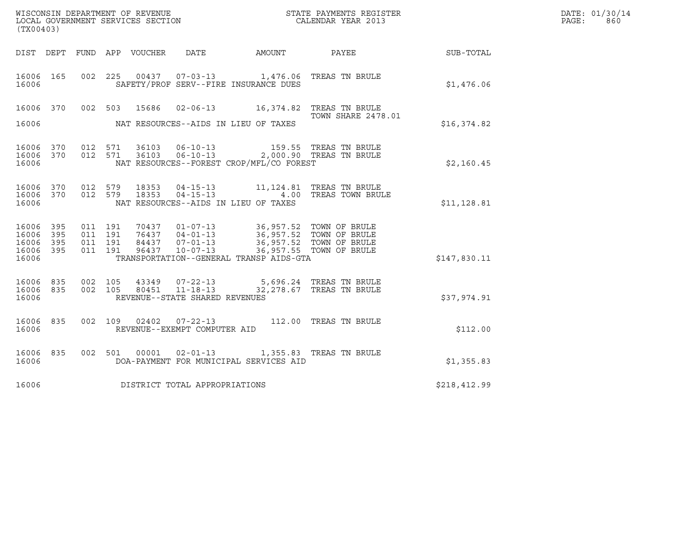| WISCONSIN DEPARTMENT OF REVENUE<br>LOCAL GOVERNMENT SERVICES SECTION<br>(TX00403) |                   |                    |                    |                                 |                                                        |                                                                                                                                                                                                                             | STATE PAYMENTS REGISTER<br>CALENDAR YEAR 2013 |              | DATE: 01/30/14<br>PAGE:<br>860 |
|-----------------------------------------------------------------------------------|-------------------|--------------------|--------------------|---------------------------------|--------------------------------------------------------|-----------------------------------------------------------------------------------------------------------------------------------------------------------------------------------------------------------------------------|-----------------------------------------------|--------------|--------------------------------|
|                                                                                   |                   |                    |                    | DIST DEPT FUND APP VOUCHER DATE |                                                        | AMOUNT PAYEE                                                                                                                                                                                                                |                                               | SUB-TOTAL    |                                |
| 16006 165<br>16006                                                                |                   |                    |                    |                                 |                                                        | 002 225 00437 07-03-13 1,476.06 TREAS TN BRULE<br>SAFETY/PROF SERV--FIRE INSURANCE DUES                                                                                                                                     |                                               | \$1,476.06   |                                |
| 16006                                                                             |                   |                    |                    |                                 |                                                        | 16006 370 002 503 15686 02-06-13 16,374.82 TREAS TN BRULE<br>NAT RESOURCES--AIDS IN LIEU OF TAXES                                                                                                                           | TOWN SHARE 2478.01                            | \$16,374.82  |                                |
| 16006 370<br>16006 370<br>16006                                                   |                   |                    |                    |                                 |                                                        | 012 571 36103 06-10-13 159.55 TREAS TN BRULE<br>012 571 36103 06-10-13 2,000.90 TREAS TN BRULE<br>NAT RESOURCES--FOREST CROP/MFL/CO FOREST                                                                                  |                                               | \$2,160.45   |                                |
| 16006 370<br>16006 370<br>16006                                                   |                   | 012 579            | 012 579            | 18353<br>18353                  |                                                        | 04-15-13 11,124.81 TREAS TN BRULE<br>NAT RESOURCES--AIDS IN LIEU OF TAXES                                                                                                                                                   | 04-15-13 4.00 TREAS TOWN BRULE                | \$11,128.81  |                                |
| 16006 395<br>16006<br>16006<br>16006<br>16006                                     | 395<br>395<br>395 | 011 191<br>011 191 | 011 191<br>011 191 |                                 |                                                        | 70437  01-07-13  36,957.52  TOWN OF BRULE<br>76437  04-01-13  36,957.52  TOWN OF BRULE<br>84437  07-01-13  36,957.52  TOWN OF BRULE<br>96437  10-07-13  36,957.55  TOWN OF BRULE<br>TRANSPORTATION--GENERAL TRANSP AIDS-GTA |                                               | \$147,830.11 |                                |
| 16006 835<br>16006 835<br>16006                                                   |                   | 002 105            | 002 105            |                                 | REVENUE--STATE SHARED REVENUES                         | 43349  07-22-13  5,696.24  TREAS TN BRULE<br>80451  11-18-13  32,278.67  TREAS TN BRULE                                                                                                                                     |                                               | \$37,974.91  |                                |
| 16006 835<br>16006                                                                |                   |                    |                    |                                 | 002 109 02402 07-22-13<br>REVENUE--EXEMPT COMPUTER AID |                                                                                                                                                                                                                             | 112.00 TREAS TN BRULE                         | \$112.00     |                                |
| 16006 835<br>16006                                                                |                   |                    |                    | 002 501 00001                   |                                                        | 02-01-13 1,355.83 TREAS TN BRULE<br>DOA-PAYMENT FOR MUNICIPAL SERVICES AID                                                                                                                                                  |                                               | \$1,355.83   |                                |
| 16006                                                                             |                   |                    |                    |                                 | DISTRICT TOTAL APPROPRIATIONS                          |                                                                                                                                                                                                                             |                                               | \$218,412.99 |                                |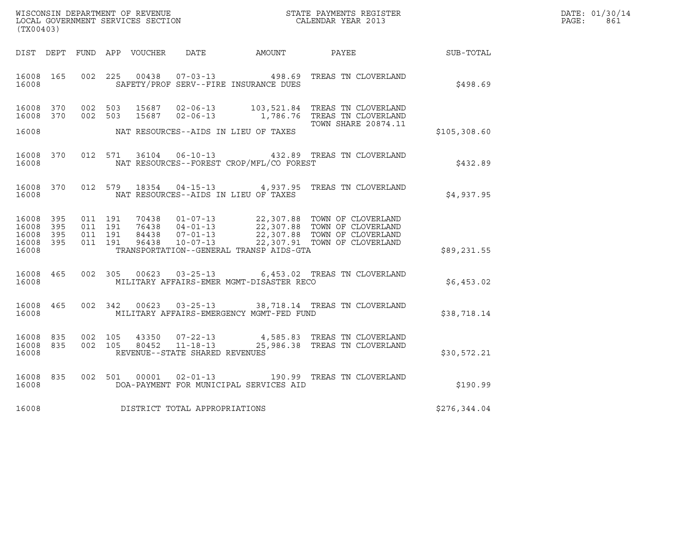| WISCONSIN DEPARTMENT OF REVENUE   | STATE PAYMENTS REGISTER | DATE: 01/30/14 |
|-----------------------------------|-------------------------|----------------|
| LOCAL GOVERNMENT SERVICES SECTION | CALENDAR YEAR 2013      | PAGE :<br>861  |

| (TX00403)                                                 |  |  |  |  |                                     |                                                                        |                                                                                                                                                                                                                          |              | DATE: 01/30/14<br>PAGE:<br>861 |
|-----------------------------------------------------------|--|--|--|--|-------------------------------------|------------------------------------------------------------------------|--------------------------------------------------------------------------------------------------------------------------------------------------------------------------------------------------------------------------|--------------|--------------------------------|
|                                                           |  |  |  |  |                                     |                                                                        | DIST DEPT FUND APP VOUCHER DATE AMOUNT PAYEE PAYER SUB-TOTAL                                                                                                                                                             |              |                                |
| 16008 165<br>16008                                        |  |  |  |  |                                     | 002 225 00438 07-03-13 498.69<br>SAFETY/PROF SERV--FIRE INSURANCE DUES | TREAS TN CLOVERLAND                                                                                                                                                                                                      | \$498.69     |                                |
| 16008 370                                                 |  |  |  |  |                                     |                                                                        | 16008 370 002 503 15687 02-06-13 103,521.84 TREAS TN CLOVERLAND<br>002 503 15687 02-06-13 1,786.76 TREAS TN CLOVERLAND<br><b>TOWN SHARE 20874.11</b>                                                                     |              |                                |
| 16008                                                     |  |  |  |  |                                     | NAT RESOURCES--AIDS IN LIEU OF TAXES                                   |                                                                                                                                                                                                                          | \$105,308.60 |                                |
| 16008 370<br>16008                                        |  |  |  |  |                                     | NAT RESOURCES--FOREST CROP/MFL/CO FOREST                               | 012 571 36104 06-10-13 432.89 TREAS TN CLOVERLAND                                                                                                                                                                        | \$432.89     |                                |
| 16008 370<br>16008                                        |  |  |  |  |                                     | NAT RESOURCES--AIDS IN LIEU OF TAXES                                   | 012 579 18354 04-15-13 4,937.95 TREAS TN CLOVERLAND                                                                                                                                                                      | \$4,937.95   |                                |
| 16008 395<br>16008 395<br>16008 395<br>16008 395<br>16008 |  |  |  |  |                                     | TRANSPORTATION--GENERAL TRANSP AIDS-GTA                                | 011 191 70438 01-07-13 22,307.88 TOWN OF CLOVERLAND<br>011 191 76438 04-01-13 22,307.88 TOWN OF CLOVERLAND<br>011 191 84438 07-01-13 22,307.88 TOWN OF CLOVERLAND<br>011 191 96438 10-07-13 22,307.91 TOWN OF CLOVERLAND | \$89,231.55  |                                |
| 16008 465<br>16008                                        |  |  |  |  |                                     | MILITARY AFFAIRS-EMER MGMT-DISASTER RECO                               | 002 305 00623 03-25-13 6,453.02 TREAS TN CLOVERLAND                                                                                                                                                                      | \$6,453.02   |                                |
| 16008 465<br>16008                                        |  |  |  |  |                                     | MILITARY AFFAIRS-EMERGENCY MGMT-FED FUND                               | 002 342 00623 03-25-13 38,718.14 TREAS TN CLOVERLAND                                                                                                                                                                     | \$38,718.14  |                                |
| 16008 835<br>16008 835<br>16008                           |  |  |  |  | REVENUE--STATE SHARED REVENUES      |                                                                        | $\begin{array}{cccc} 002 & 105 & 43350 & 07-22-13 & 4,585.83 & \text{TREAS TN CLOVERLAND} \\ 002 & 105 & 80452 & 11-18-13 & 25,986.38 & \text{TREAS TN CLOVERLAND} \end{array}$                                          | \$30,572.21  |                                |
| 16008 835<br>16008                                        |  |  |  |  |                                     | DOA-PAYMENT FOR MUNICIPAL SERVICES AID                                 | 002 501 00001 02-01-13 190.99 TREAS TN CLOVERLAND                                                                                                                                                                        | \$190.99     |                                |
|                                                           |  |  |  |  | 16008 DISTRICT TOTAL APPROPRIATIONS |                                                                        |                                                                                                                                                                                                                          | \$276,344.04 |                                |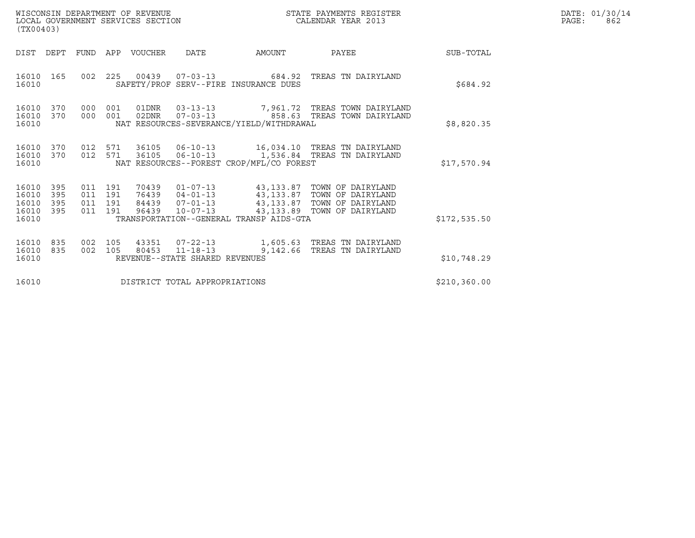| WISCONSIN DEPARTMENT OF REVENUE<br>(TX00403)                          | LOCAL GOVERNMENT SERVICES SECTION                                                                                                                                                                                                                                                                   | STATE PAYMENTS REGISTER<br>CALENDAR YEAR 2013 | DATE: 01/30/14<br>PAGE:<br>862 |
|-----------------------------------------------------------------------|-----------------------------------------------------------------------------------------------------------------------------------------------------------------------------------------------------------------------------------------------------------------------------------------------------|-----------------------------------------------|--------------------------------|
| DIST DEPT                                                             | FUND APP VOUCHER<br>DATE<br>AMOUNT                                                                                                                                                                                                                                                                  | PAYEE<br>SUB-TOTAL                            |                                |
| 16010 165<br>16010                                                    | 002  225  00439  07-03-13  684.92  TREAS TN DAIRYLAND<br>SAFETY/PROF SERV--FIRE INSURANCE DUES                                                                                                                                                                                                      | \$684.92                                      |                                |
| 16010 370<br>16010 370<br>16010                                       | 000 001 01DNR  03-13-13  7,961.72 TREAS TOWN DAIRYLAND<br>000 001 02DNR<br>NAT RESOURCES-SEVERANCE/YIELD/WITHDRAWAL                                                                                                                                                                                 | \$8,820.35                                    |                                |
| 16010<br>370<br>16010<br>370<br>16010                                 | 012 571 36105 06-10-13 16,034.10 TREAS TN DAIRYLAND<br>06-10-13 1,536.84 TREAS TN DAIRYLAND<br>012 571<br>36105<br>NAT RESOURCES--FOREST CROP/MFL/CO FOREST                                                                                                                                         | \$17,570.94                                   |                                |
| 16010<br>395<br>395<br>16010<br>16010<br>395<br>16010<br>395<br>16010 | 70439   01-07-13   43,133.87   TOWN OF DAIRYLAND<br>76439   04-01-13   43,133.87   TOWN OF DAIRYLAND<br>84439   07-01-13   43,133.87   TOWN OF DAIRYLAND<br>96439   10-07-13   43,133.89   TOWN OF DAIRYLAND<br>011 191<br>011 191<br>011 191<br>011 191<br>TRANSPORTATION--GENERAL TRANSP AIDS-GTA | \$172,535.50                                  |                                |
| 16010<br>835<br>16010<br>835<br>16010                                 | 002 105<br>80453 11-18-13<br>002 105<br>REVENUE--STATE SHARED REVENUES                                                                                                                                                                                                                              | 9,142.66 TREAS TN DAIRYLAND<br>\$10,748.29    |                                |
| 16010                                                                 | DISTRICT TOTAL APPROPRIATIONS                                                                                                                                                                                                                                                                       | \$210, 360.00                                 |                                |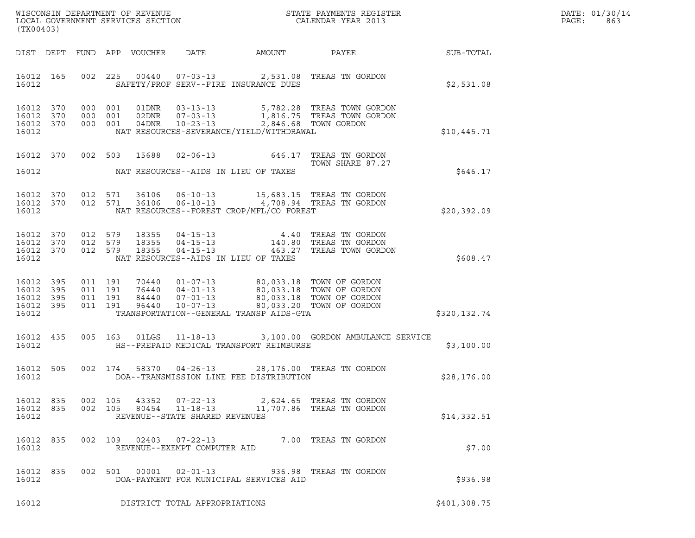| DATE: | 01/30/14 |
|-------|----------|
| PAGE: | 863      |

| (TX00403)                                             |     |     |                                          |                            |                                |                                                                                       |                                                                                                                               |                  | DATE: 01/30/14<br>PAGE:<br>863 |
|-------------------------------------------------------|-----|-----|------------------------------------------|----------------------------|--------------------------------|---------------------------------------------------------------------------------------|-------------------------------------------------------------------------------------------------------------------------------|------------------|--------------------------------|
|                                                       |     |     |                                          | DIST DEPT FUND APP VOUCHER | DATE                           | AMOUNT                                                                                | PAYEE                                                                                                                         | <b>SUB-TOTAL</b> |                                |
| 16012 165<br>16012                                    |     |     |                                          |                            |                                | SAFETY/PROF SERV--FIRE INSURANCE DUES                                                 | 002 225 00440 07-03-13 2,531.08 TREAS TN GORDON                                                                               | \$2,531.08       |                                |
| 16012 370<br>16012 370<br>16012 370<br>16012          |     |     | 000 001<br>000 001<br>000 001            | 02DNR<br>$04$ DNR          |                                | NAT RESOURCES-SEVERANCE/YIELD/WITHDRAWAL                                              | 07-03-13 1,816.75 TREAS TOWN GORDON<br>10-23-13 2,846.68 TOWN GORDON                                                          | \$10,445.71      |                                |
| 16012 370                                             |     |     |                                          |                            |                                |                                                                                       | 002 503 15688 02-06-13 646.17 TREAS TN GORDON<br>TOWN SHARE 87.27                                                             |                  |                                |
| 16012                                                 |     |     |                                          |                            |                                | NAT RESOURCES--AIDS IN LIEU OF TAXES                                                  |                                                                                                                               | \$646.17         |                                |
| 16012 370<br>16012 370<br>16012                       |     |     |                                          |                            |                                | NAT RESOURCES--FOREST CROP/MFL/CO FOREST                                              | 012 571 36106 06-10-13 15,683.15 TREAS TN GORDON<br>012 571 36106 06-10-13 4,708.94 TREAS TN GORDON                           | \$20,392.09      |                                |
| 16012 370<br>16012 370<br>16012 370<br>16012          |     |     | 012 579<br>012 579<br>012 579            | 18355<br>18355<br>18355    |                                | NAT RESOURCES--AIDS IN LIEU OF TAXES                                                  | 04-15-13 4.40 TREAS TN GORDON<br>04-15-13 140.80 TREAS TN GORDON<br>04-15-13 463.27 TREAS TOWN GORDON                         | \$608.47         |                                |
| 16012 395<br>16012<br>16012 395<br>16012 395<br>16012 | 395 |     | 011 191<br>011 191<br>011 191<br>011 191 |                            |                                | 70440  01-07-13  80,033.18  TOWN OF GORDON<br>TRANSPORTATION--GENERAL TRANSP AIDS-GTA | 76440 04-01-13 80,033.18 TOWN OF GORDON<br>84440 07-01-13 80,033.18 TOWN OF GORDON<br>96440 10-07-13 80,033.20 TOWN OF GORDON | \$320,132.74     |                                |
| 16012 435<br>16012                                    |     |     |                                          |                            |                                | HS--PREPAID MEDICAL TRANSPORT REIMBURSE                                               | 005 163 01LGS 11-18-13 3,100.00 GORDON AMBULANCE SERVICE                                                                      | \$3,100.00       |                                |
| 16012 505<br>16012                                    |     |     |                                          |                            |                                | DOA--TRANSMISSION LINE FEE DISTRIBUTION                                               | 002 174 58370 04-26-13 28,176.00 TREAS TN GORDON                                                                              | \$28,176.00      |                                |
| 16012<br>16012 835<br>16012                           | 835 |     | 002 105<br>002 105                       | 43352<br>80454             | REVENUE--STATE SHARED REVENUES |                                                                                       | 07-22-13 2,624.65 TREAS TN GORDON<br>11-18-13 11,707.86 TREAS TN GORDON                                                       | \$14,332.51      |                                |
| 16012<br>16012                                        | 835 | 002 |                                          |                            | REVENUE--EXEMPT COMPUTER AID   |                                                                                       | 109  02403  07-22-13  7.00 TREAS TN GORDON                                                                                    | \$7.00           |                                |
| 16012<br>16012                                        | 835 |     |                                          | 002 501 00001              |                                | DOA-PAYMENT FOR MUNICIPAL SERVICES AID                                                | 02-01-13 936.98 TREAS TN GORDON                                                                                               | \$936.98         |                                |
| 16012                                                 |     |     |                                          |                            | DISTRICT TOTAL APPROPRIATIONS  |                                                                                       |                                                                                                                               | \$401,308.75     |                                |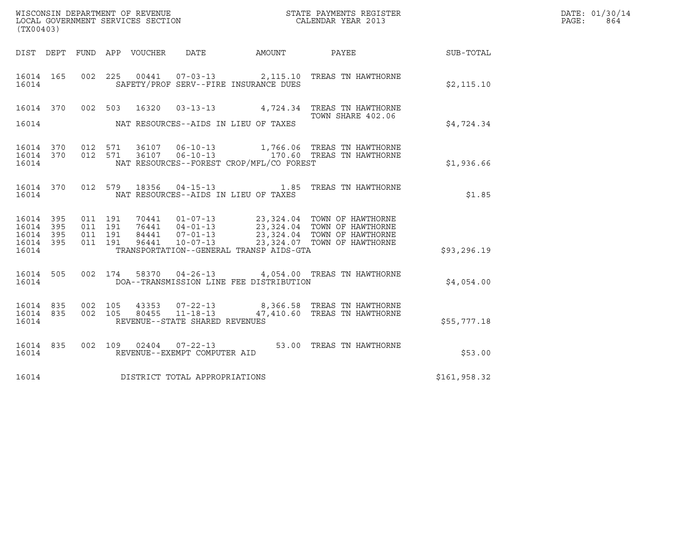|                                           |                          |                                          |                                   | WISCONSIN DEPARTMENT OF REVENUE                  |                                          | DATE: 01/30/14                                                                                                                                                                                                                                                                       |              |              |
|-------------------------------------------|--------------------------|------------------------------------------|-----------------------------------|--------------------------------------------------|------------------------------------------|--------------------------------------------------------------------------------------------------------------------------------------------------------------------------------------------------------------------------------------------------------------------------------------|--------------|--------------|
| (TX00403)                                 |                          |                                          | LOCAL GOVERNMENT SERVICES SECTION |                                                  |                                          | STATE PAYMENTS REGISTER<br>CALENDAR YEAR 2013                                                                                                                                                                                                                                        |              | PAGE:<br>864 |
|                                           |                          |                                          | DIST DEPT FUND APP VOUCHER DATE   |                                                  | AMOUNT                                   | PAYEE                                                                                                                                                                                                                                                                                | SUB-TOTAL    |              |
| 16014 165<br>16014                        |                          |                                          |                                   |                                                  | SAFETY/PROF SERV--FIRE INSURANCE DUES    | 002 225 00441 07-03-13 2,115.10 TREAS TN HAWTHORNE                                                                                                                                                                                                                                   | \$2,115.10   |              |
| 16014 370<br>16014                        |                          | 002 503                                  | 16320                             |                                                  | NAT RESOURCES--AIDS IN LIEU OF TAXES     | 03-13-13 4,724.34 TREAS TN HAWTHORNE<br>TOWN SHARE 402.06                                                                                                                                                                                                                            | \$4,724.34   |              |
| 16014 370 012 571<br>16014<br>16014       | 370                      | 012 571                                  |                                   | 36107 06-10-13                                   | NAT RESOURCES--FOREST CROP/MFL/CO FOREST | 1,766.06 TREAS TN HAWTHORNE<br>36107  06-10-13    170.60  TREAS TN HAWTHORNE                                                                                                                                                                                                         | \$1,936.66   |              |
| 16014 370<br>16014                        |                          |                                          | 012 579 18356                     |                                                  | NAT RESOURCES--AIDS IN LIEU OF TAXES     |                                                                                                                                                                                                                                                                                      | \$1.85       |              |
| 16014<br>16014<br>16014<br>16014<br>16014 | 395<br>395<br>395<br>395 | 011 191<br>011 191<br>011 191<br>011 191 |                                   |                                                  | TRANSPORTATION--GENERAL TRANSP AIDS-GTA  | $\begin{tabular}{l c c c c c c c c c c} \hline 70441 & 01-07-13 & 23,324.04 & TOWN OF HAWTHORME \\ 76441 & 04-01-13 & 23,324.04 & TOWN OF HAWTHORME \\ 84441 & 07-01-13 & 23,324.04 & TOWN OF HAWTHORME \\ 96441 & 10-07-13 & 23,324.07 & TOWN OF HAWTHORME \\ \hline \end{tabular}$ | \$93, 296.19 |              |
| 16014 505<br>16014                        |                          | 002 174                                  | 58370                             |                                                  | DOA--TRANSMISSION LINE FEE DISTRIBUTION  | 04-26-13 4,054.00 TREAS TN HAWTHORNE                                                                                                                                                                                                                                                 | \$4,054.00   |              |
| 16014 835<br>16014<br>16014               | 835                      | 002 105<br>002 105                       | 43353<br>80455                    | $11 - 18 - 13$<br>REVENUE--STATE SHARED REVENUES |                                          | 07-22-13 8,366.58 TREAS TN HAWTHORNE<br>47,410.60 TREAS TN HAWTHORNE                                                                                                                                                                                                                 | \$55,777.18  |              |
| 16014 835<br>16014                        |                          |                                          |                                   | REVENUE--EXEMPT COMPUTER AID                     |                                          | 002  109  02404  07-22-13  53.00  TREAS TN HAWTHORNE                                                                                                                                                                                                                                 | \$53.00      |              |
| 16014                                     |                          |                                          |                                   | DISTRICT TOTAL APPROPRIATIONS                    |                                          |                                                                                                                                                                                                                                                                                      | \$161,958.32 |              |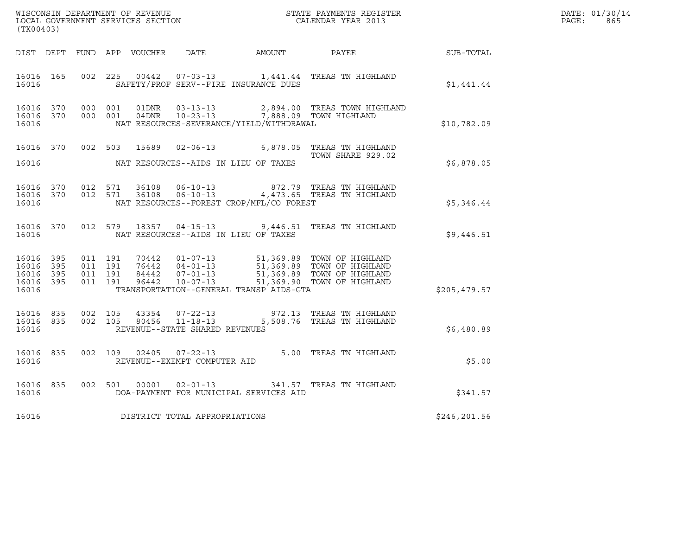| DATE: | 01/30/14 |
|-------|----------|
| PAGE: | 865      |

| (TX00403)                                                 |         |                                                                                                                                                                                                                                                                                                                                                                                                      | WISCONSIN DEPARTMENT OF REVENUE<br>LOCAL GOVERNMENT SERVICES SECTION<br>CALENDAR YEAR 2013           | $R = \frac{1}{2}$ | DATE: 01/30/14<br>$\mathtt{PAGE:}$<br>865 |
|-----------------------------------------------------------|---------|------------------------------------------------------------------------------------------------------------------------------------------------------------------------------------------------------------------------------------------------------------------------------------------------------------------------------------------------------------------------------------------------------|------------------------------------------------------------------------------------------------------|-------------------|-------------------------------------------|
|                                                           |         |                                                                                                                                                                                                                                                                                                                                                                                                      | DIST DEPT FUND APP VOUCHER DATE AMOUNT PAYEE PAYES                                                   |                   |                                           |
| 16016 165<br>16016                                        |         | SAFETY/PROF SERV--FIRE INSURANCE DUES                                                                                                                                                                                                                                                                                                                                                                | 002 225 00442 07-03-13 1,441.44 TREAS TN HIGHLAND                                                    | \$1,441.44        |                                           |
| 16016 370<br>16016 370<br>16016                           |         | NAT RESOURCES-SEVERANCE/YIELD/WITHDRAWAL                                                                                                                                                                                                                                                                                                                                                             | 000 001 01DNR 03-13-13 2,894.00 TREAS TOWN HIGHLAND<br>000 001 04DNR 10-23-13 7,888.09 TOWN HIGHLAND | \$10,782.09       |                                           |
|                                                           |         |                                                                                                                                                                                                                                                                                                                                                                                                      | 16016 370 002 503 15689 02-06-13 6,878.05 TREAS TN HIGHLAND<br>TOWN SHARE 929.02                     | \$6,878.05        |                                           |
| 16016 370<br>16016 370<br>16016                           |         | NAT RESOURCES--FOREST CROP/MFL/CO FOREST                                                                                                                                                                                                                                                                                                                                                             | 012 571 36108 06-10-13 672.79 TREAS TN HIGHLAND<br>012 571 36108 06-10-13 4,473.65 TREAS TN HIGHLAND | \$5,346.44        |                                           |
| 16016                                                     |         | NAT RESOURCES--AIDS IN LIEU OF TAXES                                                                                                                                                                                                                                                                                                                                                                 | 16016 370 012 579 18357 04-15-13 9,446.51 TREAS TN HIGHLAND                                          | \$9,446.51        |                                           |
| 16016 395<br>16016 395<br>16016 395<br>16016 395<br>16016 |         | $\begin{array}{cccccc} 011 & 191 & 70442 & 01\texttt{-}07\texttt{-}13 & 51,369.89 & \texttt{TOWN OF HIGHLAND} \\ 011 & 191 & 76442 & 04\texttt{-}01\texttt{-}13 & 51,369.89 & \texttt{TOWN OF HIGHLAND} \\ 011 & 191 & 84442 & 07\texttt{-}01\texttt{-}13 & 51,369.89 & \texttt{TOWN OF HIGHLAND} \\ 011 & 191 & 96442 & 10\texttt{-}07\texttt{-}13 & 51$<br>TRANSPORTATION--GENERAL TRANSP AIDS-GTA |                                                                                                      | \$205,479.57      |                                           |
| 16016 835<br>16016 835<br>16016                           | 002 105 | 002 105 80456 11-18-13<br>REVENUE--STATE SHARED REVENUES                                                                                                                                                                                                                                                                                                                                             | 43354 07-22-13 972.13 TREAS TN HIGHLAND<br>5,508.76 TREAS TN HIGHLAND                                | \$6,480.89        |                                           |
| 16016 835<br>16016                                        |         | REVENUE--EXEMPT COMPUTER AID                                                                                                                                                                                                                                                                                                                                                                         | 002 109 02405 07-22-13 5.00 TREAS TN HIGHLAND                                                        | \$5.00            |                                           |
| 16016 835<br>16016                                        |         | DOA-PAYMENT FOR MUNICIPAL SERVICES AID                                                                                                                                                                                                                                                                                                                                                               | 002 501 00001 02-01-13 341.57 TREAS TN HIGHLAND                                                      | \$341.57          |                                           |
|                                                           |         | 16016 DISTRICT TOTAL APPROPRIATIONS                                                                                                                                                                                                                                                                                                                                                                  |                                                                                                      | \$246,201.56      |                                           |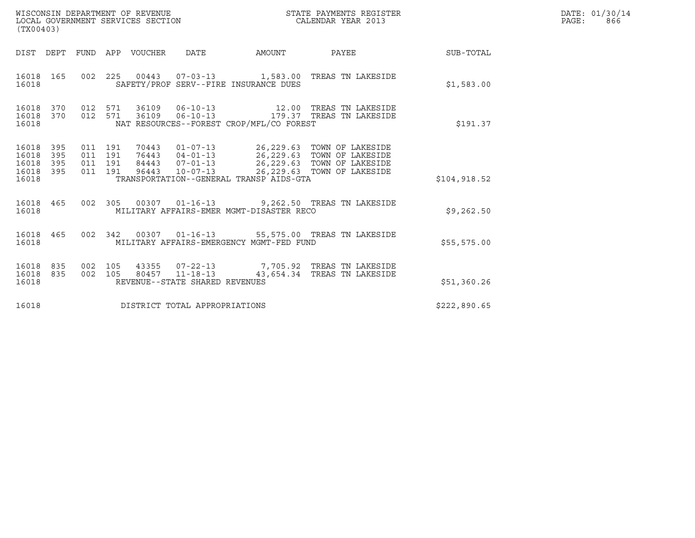| WISCONSIN DEPARTMENT OF REVENUE<br>LOCAL GOVERNMENT SERVICES SECTION | STATE PAYMENTS REGISTER<br>CALENDAR YEAR 2013 | DATE: 01/30/14<br>866<br>PAGE: |
|----------------------------------------------------------------------|-----------------------------------------------|--------------------------------|

| (TX00403)                                                                                         | WISCONSIN DEPARTMENT OF REVENUE<br>STATE PAYMENTS REGISTER<br>LOCAL GOVERNMENT SERVICES SECTION<br>CALENDAR YEAR 2013                                                           |                                                                                                                                      |  |  |  |  |  |  |  |  |
|---------------------------------------------------------------------------------------------------|---------------------------------------------------------------------------------------------------------------------------------------------------------------------------------|--------------------------------------------------------------------------------------------------------------------------------------|--|--|--|--|--|--|--|--|
| DIST DEPT<br>FUND                                                                                 | APP<br>VOUCHER<br>DATE<br><b>AMOUNT</b>                                                                                                                                         | PAYEE<br>SUB-TOTAL                                                                                                                   |  |  |  |  |  |  |  |  |
| 16018<br>165<br>002<br>16018                                                                      | 225<br>00443  07-03-13  1,583.00  TREAS TN LAKESIDE<br>SAFETY/PROF SERV--FIRE INSURANCE DUES                                                                                    | \$1,583.00                                                                                                                           |  |  |  |  |  |  |  |  |
| 370<br>012<br>16018<br>012<br>16018<br>370<br>16018                                               | 571<br>36109   06-10-13   179.37   TREAS TN LAKESIDE<br>571<br>NAT RESOURCES--FOREST CROP/MFL/CO FOREST                                                                         | \$191.37                                                                                                                             |  |  |  |  |  |  |  |  |
| 16018<br>395<br>011<br>16018<br>395<br>011<br>16018<br>395<br>011<br>395<br>011<br>16018<br>16018 | 191<br>$01 - 07 - 13$<br>70443<br>76443<br>191<br>$04 - 01 - 13$<br>84443<br>$07 - 01 - 13$<br>191<br>$10 - 07 - 13$<br>191<br>96443<br>TRANSPORTATION--GENERAL TRANSP AIDS-GTA | 26,229.63 TOWN OF LAKESIDE<br>26,229.63 TOWN OF LAKESIDE<br>26,229.63 TOWN OF LAKESIDE<br>26,229.63 TOWN OF LAKESIDE<br>\$104,918.52 |  |  |  |  |  |  |  |  |
| 465<br>0 <sub>02</sub><br>16018<br>16018                                                          | 305<br>00307  01-16-13  9,262.50  TREAS TN LAKESIDE<br>MILITARY AFFAIRS-EMER MGMT-DISASTER RECO                                                                                 | \$9,262.50                                                                                                                           |  |  |  |  |  |  |  |  |
| 465<br>002<br>16018<br>16018                                                                      | 342<br>00307  01-16-13  55,575.00  TREAS TN LAKESIDE<br>MILITARY AFFAIRS-EMERGENCY MGMT-FED FUND                                                                                | \$55,575.00                                                                                                                          |  |  |  |  |  |  |  |  |
| 16018<br>835<br>002<br>16018<br>835<br>002<br>16018                                               | 105<br>43355<br>$11 - 18 - 13$<br>80457<br>105<br>REVENUE--STATE SHARED REVENUES                                                                                                | 07-22-13 7,705.92 TREAS TN LAKESIDE<br>43,654.34 TREAS TN LAKESIDE<br>\$51,360.26                                                    |  |  |  |  |  |  |  |  |
| 16018                                                                                             | DISTRICT TOTAL APPROPRIATIONS                                                                                                                                                   | \$222,890.65                                                                                                                         |  |  |  |  |  |  |  |  |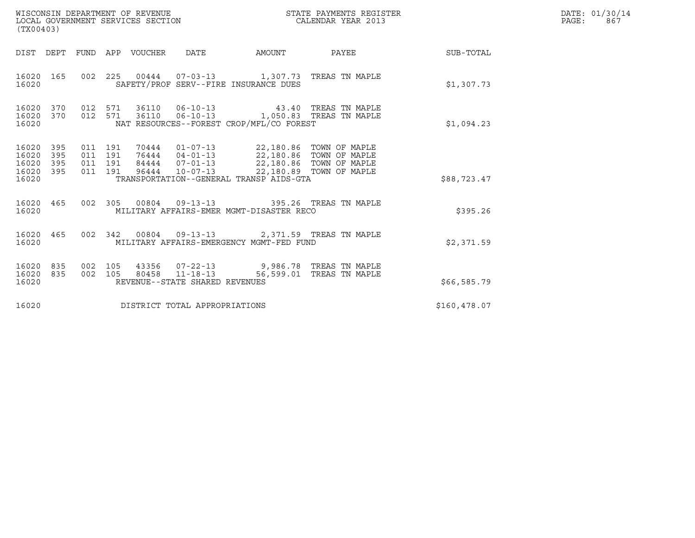| WISCONSIN DEPARTMENT OF REVENUE<br>LOCAL GOVERNMENT SERVICES SECTION<br>(TX00403) |                   |                                          |  |                            |                                                            |        | STATE PAYMENTS REGISTER<br>CALENDAR YEAR 2013                                          |              | DATE: 01/30/14<br>PAGE:<br>867 |
|-----------------------------------------------------------------------------------|-------------------|------------------------------------------|--|----------------------------|------------------------------------------------------------|--------|----------------------------------------------------------------------------------------|--------------|--------------------------------|
|                                                                                   |                   |                                          |  | DIST DEPT FUND APP VOUCHER | DATE                                                       | AMOUNT | PAYEE                                                                                  | SUB-TOTAL    |                                |
| 16020 165<br>16020                                                                |                   |                                          |  |                            | SAFETY/PROF SERV--FIRE INSURANCE DUES                      |        | 002 225 00444 07-03-13 1,307.73 TREAS TN MAPLE                                         | \$1,307.73   |                                |
| 16020 370<br>16020 370<br>16020                                                   |                   | 012 571<br>012 571                       |  |                            | 36110 06-10-13<br>NAT RESOURCES--FOREST CROP/MFL/CO FOREST |        | 1,050.83 TREAS TN MAPLE                                                                | \$1,094.23   |                                |
| 16020<br>16020<br>16020<br>16020 395<br>16020                                     | 395<br>395<br>395 | 011 191<br>011 191<br>011 191<br>011 191 |  |                            | TRANSPORTATION--GENERAL TRANSP AIDS-GTA                    |        | 70444  01-07-13  22,180.86  TOWN OF MAPLE<br>76444  04-01-13  22,180.86  TOWN OF MAPLE | \$88,723.47  |                                |
| 16020 465<br>16020                                                                |                   |                                          |  |                            | MILITARY AFFAIRS-EMER MGMT-DISASTER RECO                   |        | 002 305 00804 09-13-13 395.26 TREAS TN MAPLE                                           | \$395.26     |                                |
| 16020 465<br>16020                                                                |                   | 002 342                                  |  |                            | MILITARY AFFAIRS-EMERGENCY MGMT-FED FUND                   |        | 00804  09-13-13  2,371.59  TREAS TN MAPLE                                              | \$2,371.59   |                                |
| 16020<br>16020<br>16020                                                           | 835<br>835        | 002 105<br>002 105                       |  | 80458                      | $11 - 18 - 13$<br>REVENUE--STATE SHARED REVENUES           |        | 43356 07-22-13 9,986.78 TREAS TN MAPLE<br>56,599.01 TREAS TN MAPLE                     | \$66,585.79  |                                |
| 16020                                                                             |                   |                                          |  |                            | DISTRICT TOTAL APPROPRIATIONS                              |        |                                                                                        | \$160,478.07 |                                |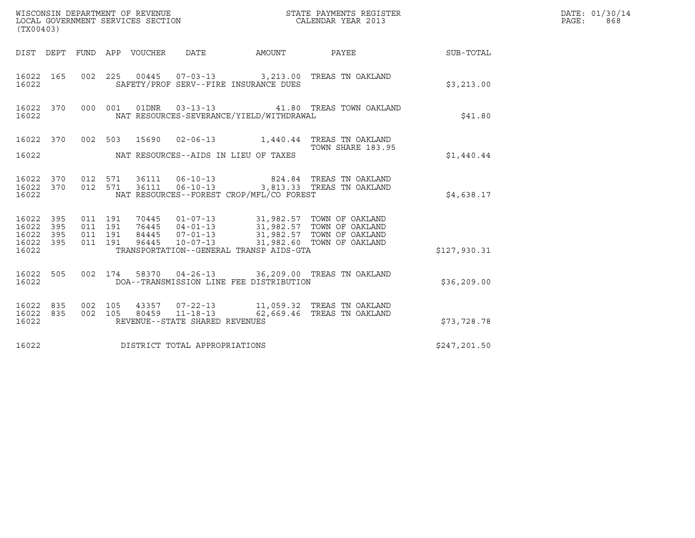| (TX00403)                                                     |     |  |                                |                                          |                                                                                                                                                                                                                |              | DATE: 01/30/14<br>$\mathtt{PAGE:}$<br>868 |
|---------------------------------------------------------------|-----|--|--------------------------------|------------------------------------------|----------------------------------------------------------------------------------------------------------------------------------------------------------------------------------------------------------------|--------------|-------------------------------------------|
|                                                               |     |  |                                |                                          | DIST DEPT FUND APP VOUCHER DATE AMOUNT PAYEE THE SUB-TOTAL                                                                                                                                                     |              |                                           |
| 16022                                                         |     |  |                                | SAFETY/PROF SERV--FIRE INSURANCE DUES    | 16022 165 002 225 00445 07-03-13 3,213.00 TREAS TN OAKLAND                                                                                                                                                     | \$3,213.00   |                                           |
| 16022                                                         |     |  |                                | NAT RESOURCES-SEVERANCE/YIELD/WITHDRAWAL | 16022 370 000 001 01DNR 03-13-13 41.80 TREAS TOWN OAKLAND                                                                                                                                                      | \$41.80      |                                           |
| 16022                                                         |     |  |                                | NAT RESOURCES--AIDS IN LIEU OF TAXES     | 16022 370 002 503 15690 02-06-13 1,440.44 TREAS TN OAKLAND<br>TOWN SHARE 183.95                                                                                                                                | \$1,440.44   |                                           |
| 16022                                                         |     |  |                                | NAT RESOURCES--FOREST CROP/MFL/CO FOREST | $\begin{array}{cccccccc} 16022 & 370 & 012 & 571 & 36111 & 06-10-13 & & & 824.84 & \text{TREAS TN OAKLAND} \\ 16022 & 370 & 012 & 571 & 36111 & 06-10-13 & & & 3,813.33 & \text{TREAS TN OAKLAND} \end{array}$ | \$4,638.17   |                                           |
| 16022 395 011 191<br>16022 395<br>16022<br>16022 395<br>16022 | 395 |  |                                | TRANSPORTATION--GENERAL TRANSP AIDS-GTA  |                                                                                                                                                                                                                | \$127,930.31 |                                           |
| 16022                                                         |     |  |                                | DOA--TRANSMISSION LINE FEE DISTRIBUTION  | 16022 505 002 174 58370 04-26-13 36,209.00 TREAS TN OAKLAND                                                                                                                                                    | \$36, 209.00 |                                           |
| 16022                                                         |     |  | REVENUE--STATE SHARED REVENUES |                                          | 16022 835 002 105 43357 07-22-13 11,059.32 TREAS TN OAKLAND<br>16022 835 002 105 80459 11-18-13 62,669.46 TREAS TN OAKLAND                                                                                     | \$73,728.78  |                                           |
| 16022                                                         |     |  | DISTRICT TOTAL APPROPRIATIONS  |                                          |                                                                                                                                                                                                                | \$247,201.50 |                                           |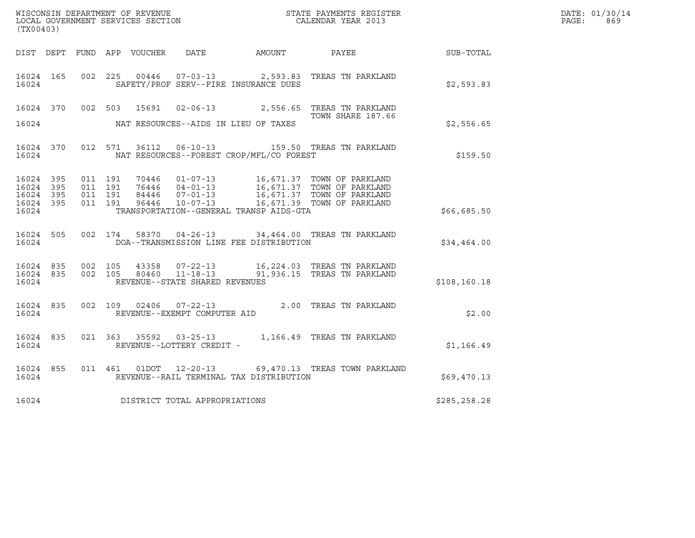|                    |     |  |                                |                                          |                                                                                                                                                                                                                 |              | DATE: 01/30/14 |
|--------------------|-----|--|--------------------------------|------------------------------------------|-----------------------------------------------------------------------------------------------------------------------------------------------------------------------------------------------------------------|--------------|----------------|
| (TX00403)          |     |  |                                |                                          |                                                                                                                                                                                                                 |              | PAGE: 869      |
|                    |     |  |                                | DIST DEPT FUND APP VOUCHER DATE AMOUNT   | <b>PAYEE</b>                                                                                                                                                                                                    | SUB-TOTAL    |                |
| 16024              |     |  |                                | SAFETY/PROF SERV--FIRE INSURANCE DUES    | 16024 165 002 225 00446 07-03-13 2,593.83 TREAS TN PARKLAND                                                                                                                                                     | \$2,593.83   |                |
|                    |     |  |                                |                                          | 16024 370 002 503 15691 02-06-13 2,556.65 TREAS TN PARKLAND<br>TOWN SHARE 187.66                                                                                                                                |              |                |
| 16024              |     |  |                                | NAT RESOURCES--AIDS IN LIEU OF TAXES     |                                                                                                                                                                                                                 | \$2,556.65   |                |
| 16024              |     |  |                                | NAT RESOURCES--FOREST CROP/MFL/CO FOREST | 16024 370 012 571 36112 06-10-13 159.50 TREAS TN PARKLAND                                                                                                                                                       | \$159.50     |                |
| 16024 395<br>16024 | 395 |  |                                |                                          | 011 191 70446 01-07-13 16,671.37 TOWN OF PARKLAND                                                                                                                                                               |              |                |
| 16024 395<br>16024 | 395 |  |                                |                                          | 011 191 76446 04-01-13 16,671.37 TOWN OF PARKLAND<br>011 191 84446 07-01-13 16,671.37 TOWN OF PARKLAND<br>011 191 96446 10-07-13 16,671.39 TOWN OF PARKLAND                                                     |              |                |
| 16024              |     |  |                                | TRANSPORTATION--GENERAL TRANSP AIDS-GTA  |                                                                                                                                                                                                                 | \$66,685.50  |                |
| 16024              |     |  |                                | DOA--TRANSMISSION LINE FEE DISTRIBUTION  | 16024 505 002 174 58370 04-26-13 34,464.00 TREAS TN PARKLAND                                                                                                                                                    | \$34,464.00  |                |
|                    |     |  |                                |                                          | 16024    835     002    105      43358      07-22-13                 16,224.03    TREAS  TN  PARKLAND<br>16024    835      002    105      80460      11-18-13                 91,936.15    TREAS  TN  PARKLAND |              |                |
| 16024              |     |  | REVENUE--STATE SHARED REVENUES |                                          |                                                                                                                                                                                                                 | \$108,160.18 |                |
| 16024              |     |  | REVENUE--EXEMPT COMPUTER AID   |                                          | 16024 835 002 109 02406 07-22-13 2.00 TREAS TN PARKLAND                                                                                                                                                         | \$2.00       |                |
| 16024              |     |  | REVENUE--LOTTERY CREDIT -      |                                          | 16024 835 021 363 35592 03-25-13 1,166.49 TREAS TN PARKLAND                                                                                                                                                     | \$1,166.49   |                |
| 16024              |     |  |                                | REVENUE--RAIL TERMINAL TAX DISTRIBUTION  | 16024 855 011 461 01DOT 12-20-13 69,470.13 TREAS TOWN PARKLAND                                                                                                                                                  | \$69,470.13  |                |
| 16024              |     |  | DISTRICT TOTAL APPROPRIATIONS  |                                          |                                                                                                                                                                                                                 | \$285,258.28 |                |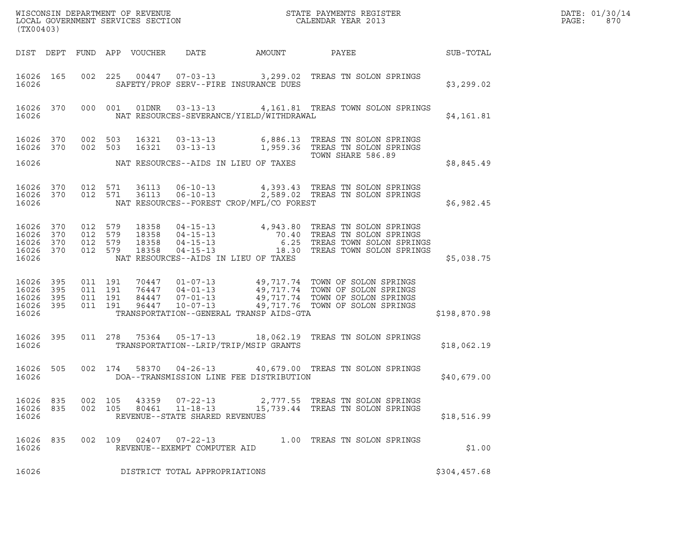| (TX00403)                                                 |                    |                    |                         |                                |                                             | % WISCONSIN DEPARTMENT OF REVENUE $$\tt STATE$ PAYMENTS REGISTER LOCAL GOVERNMENT SERVICES SECTION $$\tt CALEINDAR$ YEAR 2013                                                                                                   |              | DATE: 01/30/14<br>PAGE:<br>870 |
|-----------------------------------------------------------|--------------------|--------------------|-------------------------|--------------------------------|---------------------------------------------|---------------------------------------------------------------------------------------------------------------------------------------------------------------------------------------------------------------------------------|--------------|--------------------------------|
|                                                           |                    |                    |                         |                                |                                             | DIST DEPT FUND APP VOUCHER DATE AMOUNT PAYEE THE SUB-TOTAL                                                                                                                                                                      |              |                                |
| 16026                                                     |                    |                    |                         |                                | SAFETY/PROF SERV--FIRE INSURANCE DUES       | 16026 165 002 225 00447 07-03-13 3,299.02 TREAS TN SOLON SPRINGS                                                                                                                                                                | \$3,299.02   |                                |
| 16026                                                     |                    |                    |                         |                                | NAT RESOURCES-SEVERANCE/YIELD/WITHDRAWAL    | 16026 370 000 001 01DNR 03-13-13 4,161.81 TREAS TOWN SOLON SPRINGS                                                                                                                                                              | \$4,161.81   |                                |
| 16026                                                     |                    |                    |                         |                                | NAT RESOURCES--AIDS IN LIEU OF TAXES        | 16026 370 002 503 16321 03-13-13 6,886.13 TREAS TN SOLON SPRINGS<br>16026 370 002 503 16321 03-13-13 1,959.36 TREAS TN SOLON SPRINGS<br>TOWN SHARE 586.89                                                                       | \$8,845.49   |                                |
|                                                           |                    |                    |                         |                                |                                             |                                                                                                                                                                                                                                 |              |                                |
| 16026                                                     |                    |                    |                         |                                | NAT RESOURCES--FOREST CROP/MFL/CO FOREST    | $16026$ 370 012 571 36113 06-10-13 4,393.43 TREAS TN SOLON SPRINGS<br>16026 370 012 571 36113 06-10-13 2,589.02 TREAS TN SOLON SPRINGS                                                                                          | \$6,982.45   |                                |
| 16026 370<br>16026 370<br>16026 370<br>16026              |                    |                    | 16026 370 012 579 18358 |                                | NAT RESOURCES--AIDS IN LIEU OF TAXES        | 012 579 18358 04-15-13 4,943.80 TREAS TN SOLON SPRINGS<br>012 579 18358 04-15-13 70.40 TREAS TN SOLON SPRINGS<br>012 579 18358 04-15-13 6.25 TREAS TOWN SOLON SPRINGS<br>012 579 18358 04-15-13 (18.30 TREAS TOWN SOLON SPRINGS | \$5,038.75   |                                |
| 16026 395<br>16026 395<br>16026 395<br>16026 395<br>16026 | 011 191<br>011 191 | 011 191<br>011 191 |                         |                                | TRANSPORTATION--GENERAL TRANSP AIDS-GTA     | 70447  01-07-13  49,717.74  TOWN OF SOLON SPRINGS<br>76447  04-01-13  49,717.74  TOWN OF SOLON SPRINGS<br>84447  07-01-13  49,717.74  TOWN OF SOLON SPRINGS<br>96447  10-07-13  49,717.76  TOWN OF SOLON SPRINGS                | \$198,870.98 |                                |
|                                                           |                    |                    |                         |                                | 16026 TRANSPORTATION--LRIP/TRIP/MSIP GRANTS | 16026 395 011 278 75364 05-17-13 18,062.19 TREAS TN SOLON SPRINGS                                                                                                                                                               | \$18,062.19  |                                |
| 16026                                                     |                    |                    |                         |                                | DOA--TRANSMISSION LINE FEE DISTRIBUTION     | 16026 505 002 174 58370 04-26-13 40,679.00 TREAS TN SOLON SPRINGS                                                                                                                                                               | \$40,679.00  |                                |
| 16026 835<br>16026 835<br>16026                           | 002 105<br>002 105 |                    | 80461                   | REVENUE--STATE SHARED REVENUES |                                             | 43359  07-22-13  2,777.55  TREAS TN SOLON SPRINGS                                                                                                                                                                               | \$18,516.99  |                                |
| 16026 835<br>16026                                        |                    |                    |                         | REVENUE--EXEMPT COMPUTER AID   |                                             |                                                                                                                                                                                                                                 | \$1.00       |                                |
| 16026                                                     |                    |                    |                         | DISTRICT TOTAL APPROPRIATIONS  |                                             |                                                                                                                                                                                                                                 | \$304,457.68 |                                |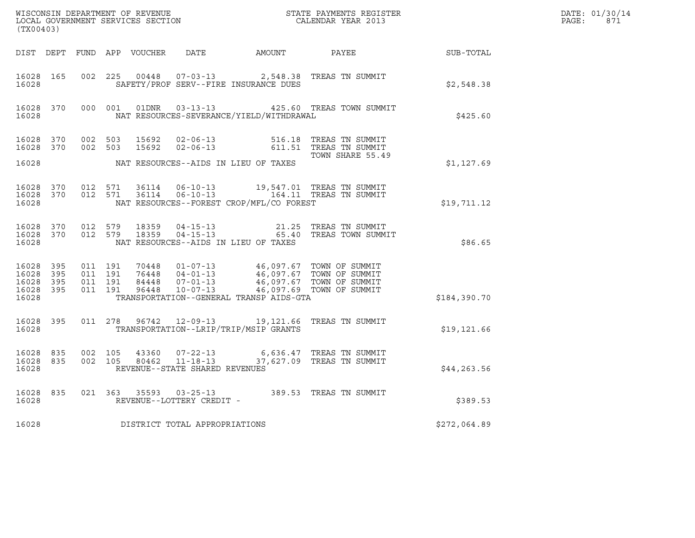| $\tt WISCONSIM DEPARTMENT OF REVENUE$ $\tt WISCONSIMENT$ SERVICES SECTION $\tt CALENDAR$ YEAR 2013<br>(TX00403) |  |  |  |  |                                |                                                |                                                                                                                                                                                                                                        |              | DATE: 01/30/14<br>$\mathtt{PAGE:}$<br>871 |
|-----------------------------------------------------------------------------------------------------------------|--|--|--|--|--------------------------------|------------------------------------------------|----------------------------------------------------------------------------------------------------------------------------------------------------------------------------------------------------------------------------------------|--------------|-------------------------------------------|
|                                                                                                                 |  |  |  |  |                                |                                                | DIST DEPT FUND APP VOUCHER DATE AMOUNT PAYEE PAYER SUB-TOTAL                                                                                                                                                                           |              |                                           |
| 16028 and 16028                                                                                                 |  |  |  |  |                                | SAFETY/PROF SERV--FIRE INSURANCE DUES          | 16028  165  002  225  00448  07-03-13  2,548.38  TREAS  TN SUMMIT                                                                                                                                                                      | \$2,548.38   |                                           |
|                                                                                                                 |  |  |  |  |                                | 16028 NAT RESOURCES-SEVERANCE/YIELD/WITHDRAWAL | 16028 370 000 001 01DNR 03-13-13 425.60 TREAS TOWN SUMMIT                                                                                                                                                                              | \$425.60     |                                           |
|                                                                                                                 |  |  |  |  |                                |                                                | 16028 370 002 503 15692 02-06-13 516.18 TREAS TN SUMMIT<br>16028 370 002 503 15692 02-06-13 611.51 TREAS TN SUMMIT<br>TOWN SHARE 55.49                                                                                                 |              |                                           |
| 16028                                                                                                           |  |  |  |  |                                | NAT RESOURCES--AIDS IN LIEU OF TAXES           |                                                                                                                                                                                                                                        | \$1,127.69   |                                           |
| 16028                                                                                                           |  |  |  |  |                                | NAT RESOURCES--FOREST CROP/MFL/CO FOREST       | $\begin{tabular}{cccccc} 16028 & 370 & 012 & 571 & 36114 & 06-10-13 & & 19,547.01 & TREAS TN SUMMARY \\ 16028 & 370 & 012 & 571 & 36114 & 06-10-13 & & 164.11 & TREAS TN SUMMARY \end{tabular}$                                        | \$19,711.12  |                                           |
| 16028                                                                                                           |  |  |  |  |                                | NAT RESOURCES--AIDS IN LIEU OF TAXES           | $\begin{array}{cccccccc} 16028 & 370 & 012 & 579 & 18359 & 04-15-13 & & & & 21.25 & \text{TREAS TN SUMMARY} \\ 16028 & 370 & 012 & 579 & 18359 & 04-15-13 & & & & 65.40 & \text{TREAS TOWN SUMMARY} \end{array}$                       | \$86.65      |                                           |
| 16028                                                                                                           |  |  |  |  |                                | TRANSPORTATION--GENERAL TRANSP AIDS-GTA        | 16028 395 011 191 70448 01-07-13 46,097.67 TOWN OF SUMMIT<br>16028 395 011 191 76448 04-01-13 46,097.67 TOWN OF SUMMIT<br>16028 395 011 191 84448 07-01-13 46,097.67 TOWN OF SUMMIT<br>16028 395 011 191 96448 10-07-13 46,097.69 TOWN | \$184,390.70 |                                           |
|                                                                                                                 |  |  |  |  |                                | 16028 TRANSPORTATION--LRIP/TRIP/MSIP GRANTS    | 16028 395 011 278 96742 12-09-13 19,121.66 TREAS TN SUMMIT                                                                                                                                                                             | \$19,121.66  |                                           |
| 16028                                                                                                           |  |  |  |  | REVENUE--STATE SHARED REVENUES |                                                | $\begin{tabular}{cccccc} 16028 & 835 & 002 & 105 & 43360 & 07-22-13 & & & 6,636.47 & \text{TREAS TN SUMI}\text{T} \\ 16028 & 835 & 002 & 105 & 80462 & 11-18-13 & & 37,627.09 & \text{TREAS TN SUMI}\text{T} \end{tabular}$            | \$44, 263.56 |                                           |
| 16028 and 16028                                                                                                 |  |  |  |  | REVENUE--LOTTERY CREDIT -      |                                                | 16028 835 021 363 35593 03-25-13 389.53 TREAS TN SUMMIT                                                                                                                                                                                | \$389.53     |                                           |
| 16028                                                                                                           |  |  |  |  | DISTRICT TOTAL APPROPRIATIONS  |                                                |                                                                                                                                                                                                                                        | \$272,064.89 |                                           |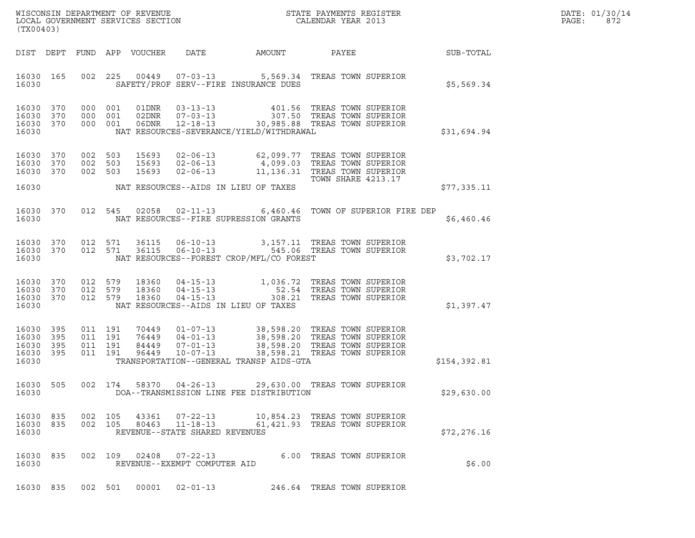| DATE: | 01/30/14 |
|-------|----------|
| PAGE: | 872      |

| (TX00403)                                             |     |                    |                                          |                            |                                                                    |                                          |                                                                                                                                                                                                                                       |              | DATE: 01/30/14<br>PAGE:<br>872 |
|-------------------------------------------------------|-----|--------------------|------------------------------------------|----------------------------|--------------------------------------------------------------------|------------------------------------------|---------------------------------------------------------------------------------------------------------------------------------------------------------------------------------------------------------------------------------------|--------------|--------------------------------|
|                                                       |     |                    |                                          | DIST DEPT FUND APP VOUCHER | DATE                                                               | AMOUNT                                   | PAYEE                                                                                                                                                                                                                                 | SUB-TOTAL    |                                |
| 16030 165<br>16030                                    |     |                    |                                          |                            |                                                                    | SAFETY/PROF SERV--FIRE INSURANCE DUES    | 002 225 00449 07-03-13 5,569.34 TREAS TOWN SUPERIOR                                                                                                                                                                                   | \$5,569.34   |                                |
| 16030 370<br>16030 370<br>16030 370<br>16030          |     | 000 001            | 000 001<br>000 001                       |                            |                                                                    | NAT RESOURCES-SEVERANCE/YIELD/WITHDRAWAL | 01DNR  03-13-13  401.56 TREAS TOWN SUPERIOR<br>02DNR  07-03-13  307.50 TREAS TOWN SUPERIOR<br>06DNR  12-18-13  30,985.88 TREAS TOWN SUPERIOR                                                                                          | \$31,694.94  |                                |
| 16030 370<br>16030 370<br>16030 370                   |     | 002 503<br>002 503 | 002 503                                  | 15693<br>15693<br>15693    |                                                                    |                                          | 02-06-13 62,099.77 TREAS TOWN SUPERIOR<br>02-06-13<br>02-06-13<br>02-06-13<br>11,136.31 TREAS TOWN SUPERIOR<br>02-06-13<br>17<br>TOWN SUAPE 4213.17<br><b>TOWN SHARE 4213.17</b>                                                      |              |                                |
| 16030                                                 |     |                    |                                          |                            |                                                                    | NAT RESOURCES--AIDS IN LIEU OF TAXES     |                                                                                                                                                                                                                                       | \$77,335.11  |                                |
| 16030 370<br>16030                                    |     |                    |                                          |                            |                                                                    | NAT RESOURCES--FIRE SUPRESSION GRANTS    | 012 545 02058 02-11-13 6,460.46 TOWN OF SUPERIOR FIRE DEP                                                                                                                                                                             | \$6,460.46   |                                |
| 16030 370<br>16030 370<br>16030                       |     | 012 571            |                                          | 36115<br>012 571 36115     |                                                                    | NAT RESOURCES--FOREST CROP/MFL/CO FOREST | 06-10-13 3,157.11 TREAS TOWN SUPERIOR<br>06-10-13 545.06 TREAS TOWN SUPERIOR                                                                                                                                                          | \$3,702.17   |                                |
| 16030 370<br>16030 370<br>16030 370<br>16030          |     | 012 579<br>012 579 | 012 579                                  |                            |                                                                    | NAT RESOURCES--AIDS IN LIEU OF TAXES     | 18360  04-15-13   1,036.72   TREAS TOWN SUPERIOR<br>18360  04-15-13   52.54   TREAS TOWN SUPERIOR<br>18360  04-15-13   308.21   TREAS TOWN SUPERIOR                                                                                   | \$1,397.47   |                                |
| 16030 395<br>16030<br>16030 395<br>16030 395<br>16030 | 395 |                    | 011 191<br>011 191<br>011 191<br>011 191 |                            |                                                                    | TRANSPORTATION--GENERAL TRANSP AIDS-GTA  | 70449  01-07-13  38,598.20 TREAS TOWN SUPERIOR<br>76449  04-01-13  38,598.20 TREAS TOWN SUPERIOR<br>84449  07-01-13  38,598.20 TREAS TOWN SUPERIOR<br>96449  10-07-13  38,598.21 TREAS TOWN SUPERIOR<br>38,598.21 TREAS TOWN SUPERIOR | \$154,392.81 |                                |
| 16030                                                 |     |                    |                                          |                            |                                                                    | DOA--TRANSMISSION LINE FEE DISTRIBUTION  | 16030 505 002 174 58370 04-26-13 29,630.00 TREAS TOWN SUPERIOR                                                                                                                                                                        | \$29,630.00  |                                |
| 16030 835<br>16030 835<br>16030                       |     |                    | 002 105<br>002 105                       | 43361<br>80463             | $07 - 22 - 13$<br>$11 - 18 - 13$<br>REVENUE--STATE SHARED REVENUES |                                          | 10,854.23 TREAS TOWN SUPERIOR<br>61,421.93 TREAS TOWN SUPERIOR                                                                                                                                                                        | \$72,276.16  |                                |
| 16030 835<br>16030                                    |     |                    |                                          | 002 109 02408              | $07 - 22 - 13$<br>REVENUE--EXEMPT COMPUTER AID                     |                                          | 6.00 TREAS TOWN SUPERIOR                                                                                                                                                                                                              | \$6.00       |                                |
| 16030 835                                             |     |                    | 002 501                                  | 00001                      | $02 - 01 - 13$                                                     |                                          | 246.64 TREAS TOWN SUPERIOR                                                                                                                                                                                                            |              |                                |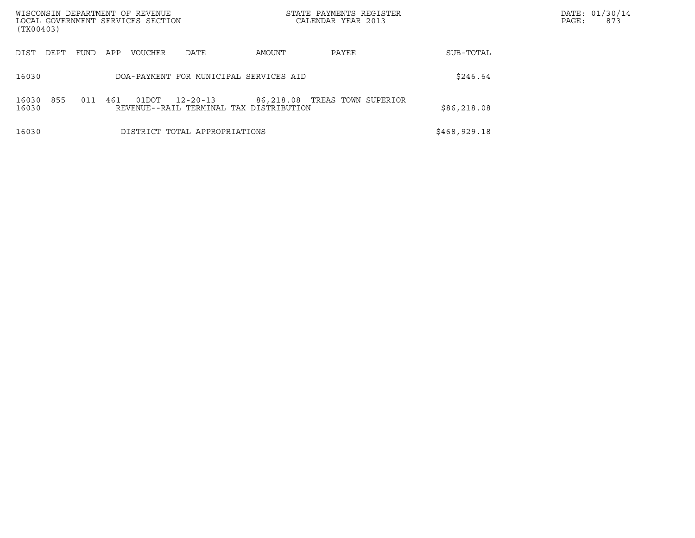| WISCONSIN DEPARTMENT OF REVENUE<br>LOCAL GOVERNMENT SERVICES SECTION<br>(TX00403) |      |      |     |                |                                                           |           | STATE PAYMENTS REGISTER<br>CALENDAR YEAR 2013 |              | DATE: 01/30/14<br>PAGE:<br>873 |
|-----------------------------------------------------------------------------------|------|------|-----|----------------|-----------------------------------------------------------|-----------|-----------------------------------------------|--------------|--------------------------------|
| DIST                                                                              | DEPT | FUND | APP | <b>VOUCHER</b> | DATE                                                      | AMOUNT    | PAYEE                                         | SUB-TOTAL    |                                |
| 16030                                                                             |      |      |     |                | DOA-PAYMENT FOR MUNICIPAL SERVICES AID                    |           |                                               | \$246.64     |                                |
| 16030<br>16030                                                                    | 855  | 011  | 461 | 01DOT          | $12 - 20 - 13$<br>REVENUE--RAIL TERMINAL TAX DISTRIBUTION | 86,218.08 | TREAS TOWN SUPERIOR                           | \$86,218.08  |                                |
| 16030                                                                             |      |      |     |                | DISTRICT TOTAL APPROPRIATIONS                             |           |                                               | \$468,929.18 |                                |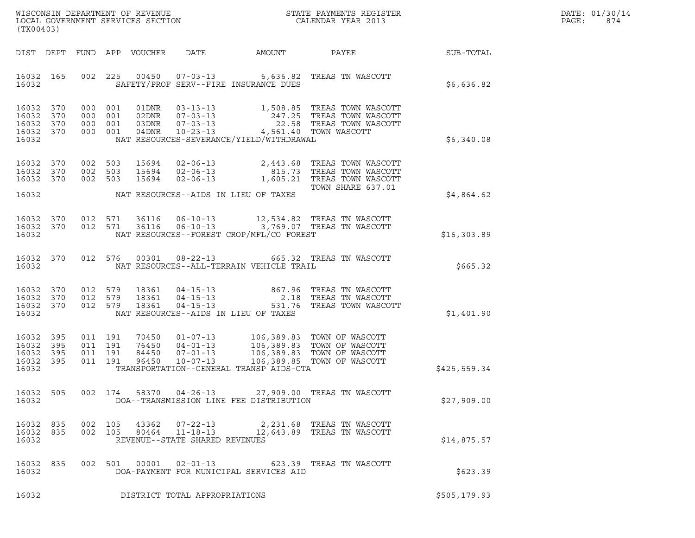|       | DATE: 01/30/14 |
|-------|----------------|
| PAGE: | 874            |

| (TX00403)                                             |                     |                                          |               |                                                  |                                          | DATE: 01/30/14<br>PAGE:<br>874                                                                                                                                                                            |               |  |
|-------------------------------------------------------|---------------------|------------------------------------------|---------------|--------------------------------------------------|------------------------------------------|-----------------------------------------------------------------------------------------------------------------------------------------------------------------------------------------------------------|---------------|--|
|                                                       |                     |                                          |               |                                                  |                                          |                                                                                                                                                                                                           |               |  |
| 16032 165<br>16032                                    |                     |                                          |               |                                                  | SAFETY/PROF SERV--FIRE INSURANCE DUES    | 002 225 00450 07-03-13 6,636.82 TREAS TN WASCOTT                                                                                                                                                          | \$6,636.82    |  |
| 16032 370<br>16032<br>16032 370<br>16032 370<br>16032 | 370                 |                                          |               |                                                  | NAT RESOURCES-SEVERANCE/YIELD/WITHDRAWAL | 000 001 01DNR 03-13-13 1,508.85 TREAS TOWN WASCOTT<br>000 001 02DNR 07-03-13 247.25 TREAS TOWN WASCOTT<br>000 001 03DNR 07-03-13 22.58 TREAS TOWN WASCOTT<br>000 001 04DNR 10-23-13 4,561.40 TOWN WASCOTT | \$6,340.08    |  |
| 16032 370<br>16032 370<br>16032 370<br>16032          |                     |                                          |               |                                                  | NAT RESOURCES--AIDS IN LIEU OF TAXES     | 002 503 15694 02-06-13 2,443.68 TREAS TOWN WASCOTT<br>002 503 15694 02-06-13 815.73 TREAS TOWN WASCOTT<br>002 503 15694 02-06-13 1,605.21 TREAS TOWN WASCOTT<br>TOWN SHARE 637.01                         | \$4,864.62    |  |
| 16032 370<br>16032 370<br>16032                       |                     |                                          | 012 571 36116 |                                                  | NAT RESOURCES--FOREST CROP/MFL/CO FOREST | 012 571 36116 06-10-13 12,534.82 TREAS TN WASCOTT<br>06-10-13 3,769.07 TREAS TN WASCOTT                                                                                                                   | \$16,303.89   |  |
| 16032 370<br>16032                                    |                     |                                          |               |                                                  | NAT RESOURCES--ALL-TERRAIN VEHICLE TRAIL | 012 576 00301 08-22-13 665.32 TREAS TN WASCOTT                                                                                                                                                            | \$665.32      |  |
| 16032 370<br>16032 370<br>16032 370<br>16032          |                     |                                          |               |                                                  | NAT RESOURCES--AIDS IN LIEU OF TAXES     | 012 579 18361 04-15-13 667.96 TREAS TN WASCOTT<br>012 579 18361 04-15-13 2.18 TREAS TN WASCOTT<br>012 579 18361 04-15-13 531.76 TREAS TOWN WASCOTT                                                        | \$1,401.90    |  |
| 16032<br>16032<br>16032<br>16032 395<br>16032         | 395<br>- 395<br>395 | 011 191<br>011 191<br>011 191<br>011 191 |               |                                                  | TRANSPORTATION--GENERAL TRANSP AIDS-GTA  | 70450   01-07-13   106,389.83   TOWN OF WASCOTT<br>76450   04-01-13   106,389.83   TOWN OF WASCOTT<br>84450   07-01-13   106,389.83   TOWN OF WASCOTT<br>96450   10-07-13   106,389.85   TOWN OF WASCOTT  | \$425,559.34  |  |
| 16032 505<br>16032                                    |                     |                                          |               |                                                  | DOA--TRANSMISSION LINE FEE DISTRIBUTION  | 002 174 58370 04-26-13 27,909.00 TREAS TN WASCOTT                                                                                                                                                         | \$27,909.00   |  |
| 16032 835<br>16032 835<br>16032                       |                     | 002 105                                  | 43362         | $07 - 22 - 13$<br>REVENUE--STATE SHARED REVENUES |                                          | 2,231.68 TREAS TN WASCOTT<br>002  105  80464  11-18-13  12,643.89  TREAS TN WASCOTT                                                                                                                       | \$14,875.57   |  |
| 16032 835<br>16032                                    |                     |                                          |               | 002 501 00001 02-01-13                           | DOA-PAYMENT FOR MUNICIPAL SERVICES AID   | 623.39   TREAS  TN  WASCOTT                                                                                                                                                                               | \$623.39      |  |
| 16032                                                 |                     |                                          |               | DISTRICT TOTAL APPROPRIATIONS                    |                                          |                                                                                                                                                                                                           | \$505, 179.93 |  |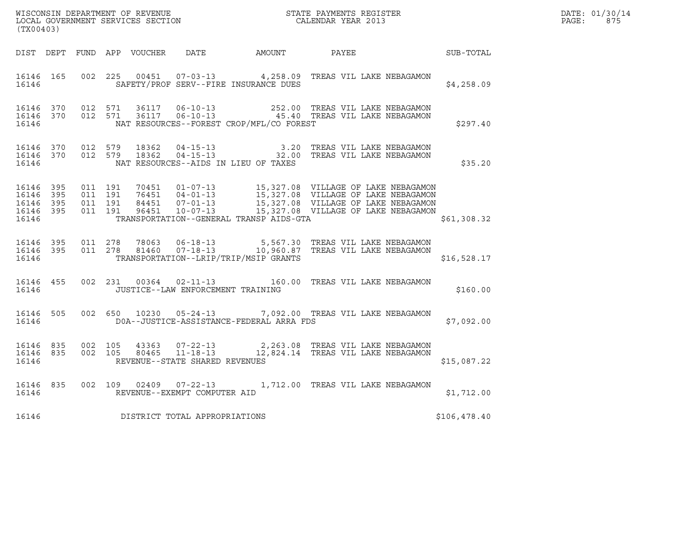| WISCONSIN DEPARTMENT OF REVENUE<br>LOCAL GOVERNMENT SERVICES SECTION<br>CALENDAR YEAR 2013<br>(TX00403) |  |  |  |  |                                           |                                                |                                                                                                                                                                                                                                                                                                                      | $\mathbb{E} \mathbb{R}^n$<br>DATE: 01/30/14<br>$\mathtt{PAGE:}$<br>875 |  |
|---------------------------------------------------------------------------------------------------------|--|--|--|--|-------------------------------------------|------------------------------------------------|----------------------------------------------------------------------------------------------------------------------------------------------------------------------------------------------------------------------------------------------------------------------------------------------------------------------|------------------------------------------------------------------------|--|
|                                                                                                         |  |  |  |  |                                           |                                                | DIST DEPT FUND APP VOUCHER DATE AMOUNT PAYEE SUB-TOTAL                                                                                                                                                                                                                                                               |                                                                        |  |
| 16146                                                                                                   |  |  |  |  |                                           | SAFETY/PROF SERV--FIRE INSURANCE DUES          | 16146  165  002  225  00451  07-03-13  4,258.09  TREAS VIL LAKE NEBAGAMON                                                                                                                                                                                                                                            | \$4,258.09                                                             |  |
|                                                                                                         |  |  |  |  |                                           | 16146 MAT RESOURCES--FOREST CROP/MFL/CO FOREST | 16146 370 012 571 36117 06-10-13 252.00 TREAS VIL LAKE NEBAGAMON 16146 370 012 571 36117 06-10-13 252.00 TREAS VIL LAKE NEBAGAMON                                                                                                                                                                                    | \$297.40                                                               |  |
| 16146                                                                                                   |  |  |  |  |                                           | NAT RESOURCES--AIDS IN LIEU OF TAXES           | 16146 370 012 579 18362 04-15-13 3.20 TREAS VIL LAKE NEBAGAMON 16146 370 012 579 18362 04-15-13 32.00 TREAS VIL LAKE NEBAGAMON                                                                                                                                                                                       | \$35.20                                                                |  |
| 16146                                                                                                   |  |  |  |  |                                           | TRANSPORTATION--GENERAL TRANSP AIDS-GTA        | $\begin{tabular}{cccc} 16146 & 395 & 011 & 191 & 70451 & 01-07-13 & 15,327.08 & VILLAGE OF LAKE NEBAGAMON \\ 16146 & 395 & 011 & 191 & 76451 & 04-01-13 & 15,327.08 & VILLAGE OF LAKE NEBAGAMON \\ 16146 & 395 & 011 & 191 & 84451 & 07-01-13 & 15,327.08 & VILLAGE OF LAKE NEBAGAMON \\ 16146 & 395 & 011 & 191 & $ | \$61,308.32                                                            |  |
| 16146                                                                                                   |  |  |  |  |                                           | TRANSPORTATION--LRIP/TRIP/MSIP GRANTS          | 16146 395 011 278 78063 06-18-13 5,567.30 TREAS VIL LAKE NEBAGAMON<br>16146 395 011 278 81460 07-18-13 10,960.87 TREAS VIL LAKE NEBAGAMON                                                                                                                                                                            | \$16,528.17                                                            |  |
|                                                                                                         |  |  |  |  | 16146   JUSTICE--LAW ENFORCEMENT TRAINING |                                                | 16146 455 002 231 00364 02-11-13 160.00 TREAS VIL LAKE NEBAGAMON                                                                                                                                                                                                                                                     | \$160.00                                                               |  |
| 16146                                                                                                   |  |  |  |  |                                           | D0A--JUSTICE-ASSISTANCE-FEDERAL ARRA FDS       | 16146 505 002 650 10230 05-24-13 7,092.00 TREAS VIL LAKE NEBAGAMON                                                                                                                                                                                                                                                   | \$7,092.00                                                             |  |
| 16146                                                                                                   |  |  |  |  |                                           | REVENUE--STATE SHARED REVENUES                 | 16146 835 002 105 43363 07-22-13 2,263.08 TREAS VIL LAKE NEBAGAMON 16146 835 002 105 80465 11-18-13 12,824.14 TREAS VIL LAKE NEBAGAMON                                                                                                                                                                               | \$15,087.22                                                            |  |
|                                                                                                         |  |  |  |  | 16146 REVENUE--EXEMPT COMPUTER AID        |                                                | 16146 835 002 109 02409 07-22-13 1,712.00 TREAS VIL LAKE NEBAGAMON                                                                                                                                                                                                                                                   | \$1,712.00                                                             |  |
| 16146                                                                                                   |  |  |  |  | DISTRICT TOTAL APPROPRIATIONS             |                                                |                                                                                                                                                                                                                                                                                                                      | \$106,478.40                                                           |  |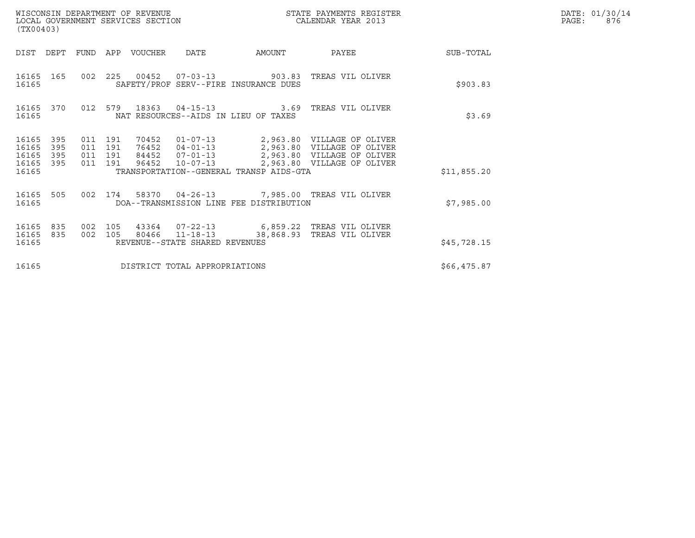| WISCONSIN DEPARTMENT OF REVENUE<br>LOCAL GOVERNMENT SERVICES SECTION<br>(TX00403) |                   |                                          |  |                       |                                |                                         | STATE PAYMENTS REGISTER<br>CALENDAR YEAR 2013                                                                                                                              |             | DATE: 01/30/14<br>PAGE:<br>876 |
|-----------------------------------------------------------------------------------|-------------------|------------------------------------------|--|-----------------------|--------------------------------|-----------------------------------------|----------------------------------------------------------------------------------------------------------------------------------------------------------------------------|-------------|--------------------------------|
| DIST                                                                              |                   |                                          |  | DEPT FUND APP VOUCHER | DATE                           | AMOUNT                                  | PAYEE                                                                                                                                                                      | SUB-TOTAL   |                                |
| 16165                                                                             | 16165 165         |                                          |  |                       |                                | SAFETY/PROF SERV--FIRE INSURANCE DUES   | 002 225 00452 07-03-13 903.83 TREAS VIL OLIVER                                                                                                                             | \$903.83    |                                |
| 16165                                                                             |                   |                                          |  |                       |                                | NAT RESOURCES--AIDS IN LIEU OF TAXES    | 16165 370 012 579 18363 04-15-13 3.69 TREAS VIL OLIVER                                                                                                                     | \$3.69      |                                |
| 16165 395<br>16165<br>16165<br>16165<br>16165                                     | 395<br>395<br>395 | 011 191<br>011 191<br>011 191<br>011 191 |  |                       | 96452 10-07-13                 | TRANSPORTATION--GENERAL TRANSP AIDS-GTA | 70452  01-07-13  2,963.80  VILLAGE OF OLIVER<br>76452  04-01-13  2,963.80  VILLAGE OF OLIVER<br>84452  07-01-13  2,963.80  VILLAGE OF OLIVER<br>2,963.80 VILLAGE OF OLIVER | \$11,855.20 |                                |
| 16165 505<br>16165                                                                |                   |                                          |  |                       |                                | DOA--TRANSMISSION LINE FEE DISTRIBUTION | 002 174 58370 04-26-13 7,985.00 TREAS VIL OLIVER                                                                                                                           | \$7,985.00  |                                |
| 16165<br>16165<br>16165                                                           | 835<br>835        | 002 105<br>002 105                       |  |                       | REVENUE--STATE SHARED REVENUES |                                         | 43364 07-22-13 6,859.22 TREAS VIL OLIVER<br>80466    11-18-13    38,868.93    TREAS    VIL OLIVER                                                                          | \$45,728.15 |                                |
| 16165                                                                             |                   |                                          |  |                       | DISTRICT TOTAL APPROPRIATIONS  |                                         |                                                                                                                                                                            | \$66,475.87 |                                |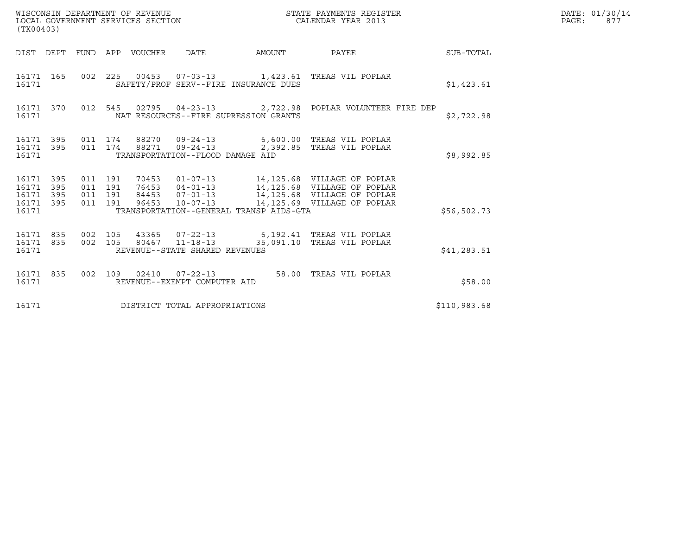| (TX00403)                                                       | WISCONSIN DEPARTMENT OF REVENUE<br>LOCAL GOVERNMENT SERVICES SECTION                                                                                                                                                                                                                    | STATE PAYMENTS REGISTER<br>CALENDAR YEAR 2013 |              | DATE: 01/30/14<br>PAGE:<br>877 |
|-----------------------------------------------------------------|-----------------------------------------------------------------------------------------------------------------------------------------------------------------------------------------------------------------------------------------------------------------------------------------|-----------------------------------------------|--------------|--------------------------------|
|                                                                 | DIST DEPT FUND APP VOUCHER DATE                                                                                                                                                                                                                                                         | SUB-TOTAL<br>AMOUNT PAYEE                     |              |                                |
| 16171 165<br>16171                                              | 002 225 00453 07-03-13 1,423.61 TREAS VIL POPLAR<br>SAFETY/PROF SERV--FIRE INSURANCE DUES                                                                                                                                                                                               |                                               | \$1,423.61   |                                |
| 16171                                                           | 16171 370 012 545 02795 04-23-13 2,722.98 POPLAR VOLUNTEER FIRE DEP<br>NAT RESOURCES--FIRE SUPRESSION GRANTS                                                                                                                                                                            |                                               | \$2,722.98   |                                |
| 16171 395<br>16171 395<br>16171                                 | 011 174 88270 09-24-13 6,600.00 TREAS VIL POPLAR<br>011 174 88271 09-24-13 2,392.85 TREAS VIL POPLAR<br>TRANSPORTATION--FLOOD DAMAGE AID                                                                                                                                                |                                               | \$8,992.85   |                                |
| 16171 395<br>16171<br>395<br>16171<br>395<br>16171 395<br>16171 | 70453  01-07-13  14,125.68  VILLAGE OF POPLAR<br>011 191<br>76453  04-01-13  14,125.68  VILLAGE OF POPLAR<br>011 191<br>011 191<br>84453  07-01-13  14,125.68  VILLAGE OF POPLAR<br>96453  10-07-13  14,125.69  VILLAGE OF POPLAR<br>011 191<br>TRANSPORTATION--GENERAL TRANSP AIDS-GTA |                                               | \$56,502.73  |                                |
| 16171 835<br>16171 835<br>16171                                 | 002 105<br>43365  07-22-13   6,192.41   TREAS VIL POPLAR<br>002 105 80467 11-18-13 35,091.10 TREAS VIL POPLAR<br>REVENUE--STATE SHARED REVENUES                                                                                                                                         |                                               | \$41,283.51  |                                |
| 16171 835<br>16171                                              | 002 109 02410 07-22-13 58.00 TREAS VIL POPLAR<br>REVENUE--EXEMPT COMPUTER AID                                                                                                                                                                                                           |                                               | \$58.00      |                                |
| 16171                                                           | DISTRICT TOTAL APPROPRIATIONS                                                                                                                                                                                                                                                           |                                               | \$110,983.68 |                                |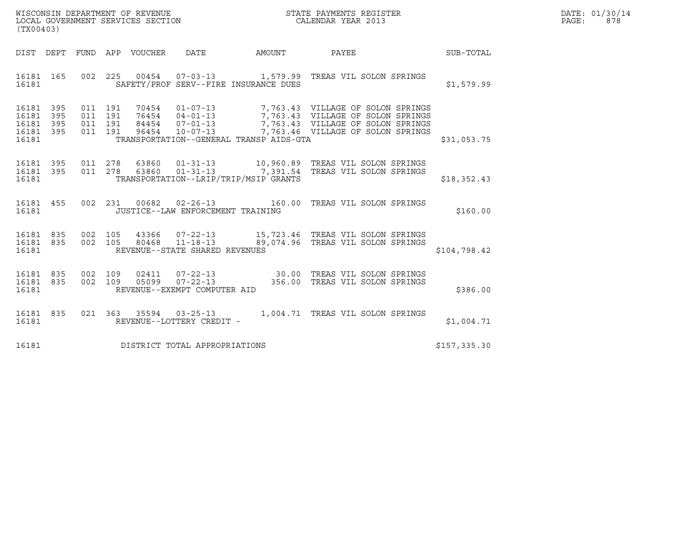| WISCONSIN DEPARTMENT OF REVENUE<br>LOCAL GOVERNMENT SERVICES SECTION<br>(TX00403) | STATE PAYMENTS REGISTER<br>CALENDAR YEAR 2013 | DATE: 01/30/14<br>PAGE:<br>878 |
|-----------------------------------------------------------------------------------|-----------------------------------------------|--------------------------------|

| (TX00403)                                         |                                 |                              |                                                     |                                         |                                                                                                                                                                                                                          |              |
|---------------------------------------------------|---------------------------------|------------------------------|-----------------------------------------------------|-----------------------------------------|--------------------------------------------------------------------------------------------------------------------------------------------------------------------------------------------------------------------------|--------------|
|                                                   |                                 |                              |                                                     |                                         | DIST DEPT FUND APP VOUCHER DATE AMOUNT PAYEE                                                                                                                                                                             | SUB-TOTAL    |
| 16181 165<br>16181                                | 002                             |                              |                                                     | SAFETY/PROF SERV--FIRE INSURANCE DUES   | 225  00454  07-03-13   1,579.99  TREAS VIL SOLON SPRINGS                                                                                                                                                                 | \$1,579.99   |
| 16181<br>16181<br>16181 395<br>16181 395<br>16181 | 395<br>011<br>395<br>011<br>011 | 191<br>191<br>191<br>011 191 |                                                     | TRANSPORTATION--GENERAL TRANSP AIDS-GTA | 70454  01-07-13  7,763.43  VILLAGE OF SOLON SPRINGS<br>76454  04-01-13  7,763.43  VILLAGE OF SOLON SPRINGS<br>84454  07-01-13  7,763.43  VILLAGE OF SOLON SPRINGS<br>96454  10-07-13  7,763.46  VILLAGE OF SOLON SPRINGS | \$31,053.75  |
| 16181 395<br>16181 395<br>16181                   | 011<br>011                      |                              | TRANSPORTATION--LRIP/TRIP/MSIP GRANTS               |                                         |                                                                                                                                                                                                                          | \$18,352.43  |
| 16181 455<br>16181                                | 002                             |                              | JUSTICE--LAW ENFORCEMENT TRAINING                   |                                         |                                                                                                                                                                                                                          | \$160.00     |
| 16181 835<br>16181 835<br>16181                   | 002<br>002                      | 105<br>105                   | REVENUE--STATE SHARED REVENUES                      |                                         |                                                                                                                                                                                                                          | \$104,798.42 |
| 16181 835<br>16181 835<br>16181                   | 002<br>002                      |                              | REVENUE--EXEMPT COMPUTER AID                        |                                         | 109 02411 07-22-13 30.00 TREAS VIL SOLON SPRINGS<br>109 05099 07-22-13 356.00 TREAS VIL SOLON SPRINGS                                                                                                                    | \$386.00     |
| 16181 835<br>16181                                |                                 |                              | 021 363 35594 03-25-13<br>REVENUE--LOTTERY CREDIT - |                                         | 1,004.71 TREAS VIL SOLON SPRINGS                                                                                                                                                                                         | \$1,004.71   |
| 16181                                             |                                 |                              | DISTRICT TOTAL APPROPRIATIONS                       |                                         |                                                                                                                                                                                                                          | \$157,335.30 |

(TX00403)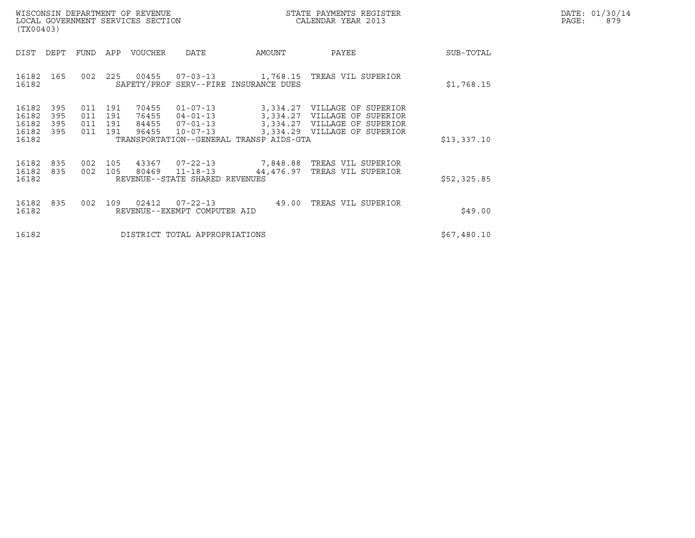|       | DATE: 01/30/14 |
|-------|----------------|
| PAGE: | 879            |

|                                           | WISCONSIN DEPARTMENT OF REVENUE<br>LOCAL GOVERNMENT SERVICES SECTION<br>(TX00403) |                              |                   |                                  |                                                                      |                                         | STATE PAYMENTS REGISTER<br>CALENDAR YEAR 2013                                                                                |             | DATE: 01/30/14<br>PAGE:<br>879 |
|-------------------------------------------|-----------------------------------------------------------------------------------|------------------------------|-------------------|----------------------------------|----------------------------------------------------------------------|-----------------------------------------|------------------------------------------------------------------------------------------------------------------------------|-------------|--------------------------------|
| DIST                                      | DEPT                                                                              |                              |                   | FUND APP VOUCHER                 | DATE                                                                 | AMOUNT                                  | PAYEE                                                                                                                        | SUB-TOTAL   |                                |
| 16182 165<br>16182                        |                                                                                   |                              |                   |                                  |                                                                      | SAFETY/PROF SERV--FIRE INSURANCE DUES   | 002  225  00455  07-03-13  1,768.15  TREAS VIL SUPERIOR                                                                      | \$1,768.15  |                                |
| 16182<br>16182<br>16182<br>16182<br>16182 | 395<br>395<br>395<br>395                                                          | 011<br>011 191<br>011<br>011 | 191<br>191<br>191 | 70455<br>76455<br>84455<br>96455 | $01 - 07 - 13$<br>$04 - 01 - 13$<br>$07 - 01 - 13$<br>$10 - 07 - 13$ | TRANSPORTATION--GENERAL TRANSP AIDS-GTA | 3,334.27 VILLAGE OF SUPERIOR<br>3,334.27 VILLAGE OF SUPERIOR<br>3,334.27 VILLAGE OF SUPERIOR<br>3,334.29 VILLAGE OF SUPERIOR | \$13,337.10 |                                |
| 16182<br>16182 835<br>16182               | 835                                                                               |                              | 002 105           | 002 105 43367                    | 80469 11-18-13<br>REVENUE--STATE SHARED REVENUES                     |                                         | 07-22-13 7,848.88 TREAS VIL SUPERIOR<br>44,476.97 TREAS VIL SUPERIOR                                                         | \$52,325.85 |                                |
| 16182<br>16182                            | 835                                                                               | 002                          |                   | 109 02412                        | $07 - 22 - 13$<br>REVENUE--EXEMPT COMPUTER AID                       |                                         | 49.00 TREAS VIL SUPERIOR                                                                                                     | \$49.00     |                                |
| 16182                                     |                                                                                   |                              |                   |                                  | DISTRICT TOTAL APPROPRIATIONS                                        |                                         |                                                                                                                              | \$67,480.10 |                                |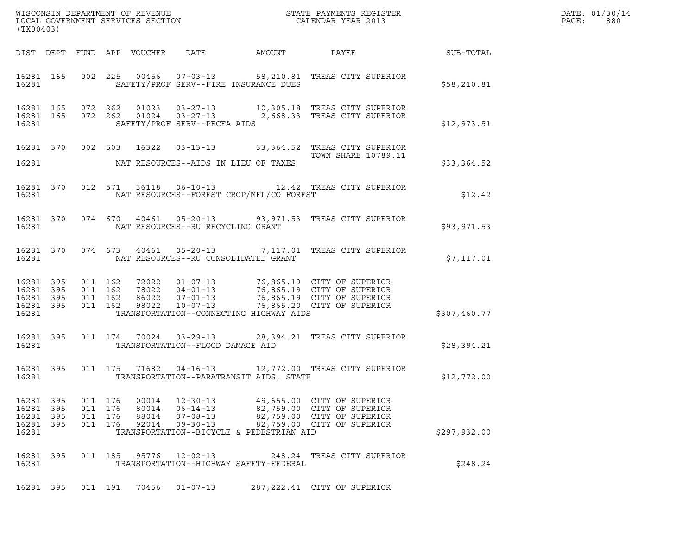| (TX00403)                                                 |            |                    |                                          |                                  |                                                          |                                          |                                                                                                                                                                                                          |              | DATE: 01/30/14<br>PAGE:<br>880 |
|-----------------------------------------------------------|------------|--------------------|------------------------------------------|----------------------------------|----------------------------------------------------------|------------------------------------------|----------------------------------------------------------------------------------------------------------------------------------------------------------------------------------------------------------|--------------|--------------------------------|
|                                                           |            |                    |                                          |                                  |                                                          |                                          |                                                                                                                                                                                                          |              |                                |
| 16281                                                     |            |                    |                                          |                                  |                                                          | SAFETY/PROF SERV--FIRE INSURANCE DUES    | 16281 165 002 225 00456 07-03-13 58,210.81 TREAS CITY SUPERIOR                                                                                                                                           | \$58,210.81  |                                |
| 16281                                                     |            |                    |                                          |                                  | SAFETY/PROF SERV--PECFA AIDS                             |                                          | 16281 165 072 262 01023 03-27-13 10,305.18 TREAS CITY SUPERIOR<br>16281 165 072 262 01024 03-27-13 2,668.33 TREAS CITY SUPERIOR                                                                          | \$12,973.51  |                                |
| 16281                                                     |            |                    |                                          |                                  |                                                          | NAT RESOURCES--AIDS IN LIEU OF TAXES     | 16281 370 002 503 16322 03-13-13 33,364.52 TREAS CITY SUPERIOR<br>TOWN SHARE 10789.11                                                                                                                    | \$33,364.52  |                                |
| 16281 300                                                 |            |                    |                                          |                                  |                                                          | NAT RESOURCES--FOREST CROP/MFL/CO FOREST | 16281 370 012 571 36118 06-10-13 12.42 TREAS CITY SUPERIOR                                                                                                                                               | \$12.42      |                                |
| 16281                                                     |            |                    |                                          |                                  | NAT RESOURCES--RU RECYCLING GRANT                        |                                          | 16281 370 074 670 40461 05-20-13 93,971.53 TREAS CITY SUPERIOR                                                                                                                                           | \$93,971.53  |                                |
| 16281                                                     |            |                    |                                          |                                  |                                                          | NAT RESOURCES--RU CONSOLIDATED GRANT     | 16281 370 074 673 40461 05-20-13 7,117.01 TREAS CITY SUPERIOR                                                                                                                                            | \$7,117.01   |                                |
| 16281 395<br>16281 395<br>16281 395<br>16281 395<br>16281 |            | 011 162<br>011 162 | 011 162<br>011 162                       |                                  |                                                          | TRANSPORTATION--CONNECTING HIGHWAY AIDS  | 72022   01-07-13   76,865.19   CITY OF SUPERIOR<br>78022   04-01-13   76,865.19   CITY OF SUPERIOR<br>86022   07-01-13   76,865.19   CITY OF SUPERIOR<br>98022   10-07-13   76,865.20   CITY OF SUPERIOR | \$307,460.77 |                                |
| 16281 395                                                 |            |                    |                                          |                                  | 16281 TRANSPORTATION--FLOOD DAMAGE AID                   |                                          | 011 174 70024 03-29-13 28,394.21 TREAS CITY SUPERIOR                                                                                                                                                     | \$28,394.21  |                                |
| 16281 395<br>16281 2002                                   |            |                    |                                          |                                  |                                                          | TRANSPORTATION--PARATRANSIT AIDS, STATE  | 011 175 71682 04-16-13 12,772.00 TREAS CITY SUPERIOR                                                                                                                                                     | \$12,772.00  |                                |
| 16281 395<br>16281 395<br>16281<br>16281<br>16281         | 395<br>395 |                    | 011 176<br>011 176<br>011 176<br>011 176 | 00014<br>80014<br>88014<br>92014 | $12 - 30 - 13$<br>$06 - 14 - 13$<br>07-08-13<br>09-30-13 | TRANSPORTATION--BICYCLE & PEDESTRIAN AID | 49,655.00 CITY OF SUPERIOR<br>82,759.00 CITY OF SUPERIOR<br>82,759.00 CITY OF SUPERIOR<br>82,759.00 CITY OF SUPERIOR                                                                                     | \$297,932.00 |                                |
| 16281 395<br>16281                                        |            |                    | 011 185                                  | 95776                            | 12-02-13                                                 | TRANSPORTATION--HIGHWAY SAFETY-FEDERAL   | 248.24 TREAS CITY SUPERIOR                                                                                                                                                                               | \$248.24     |                                |
| 16281 395                                                 |            |                    | 011 191                                  | 70456                            | $01 - 07 - 13$                                           |                                          | 287, 222.41 CITY OF SUPERIOR                                                                                                                                                                             |              |                                |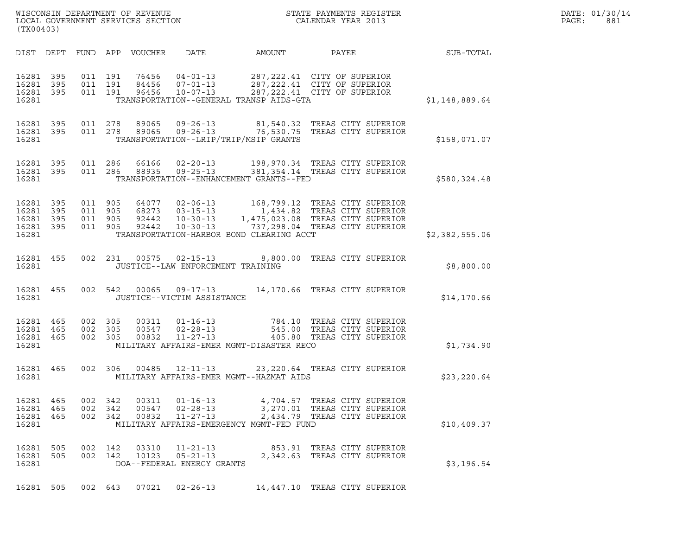| (TX00403)                                                 |  |                               |                    |                            |                                                                |                                          |                                                                                                                                                                                                            |                | DATE: 01/30/14<br>PAGE:<br>881 |
|-----------------------------------------------------------|--|-------------------------------|--------------------|----------------------------|----------------------------------------------------------------|------------------------------------------|------------------------------------------------------------------------------------------------------------------------------------------------------------------------------------------------------------|----------------|--------------------------------|
|                                                           |  |                               |                    | DIST DEPT FUND APP VOUCHER | DATE                                                           | AMOUNT                                   | PAYEE                                                                                                                                                                                                      | SUB-TOTAL      |                                |
| 16281 395<br>16281 395<br>16281 395<br>16281              |  | 011 191                       | 011 191<br>011 191 | 84456<br>96456             | 76456 04-01-13<br>$07 - 01 - 13$<br>$10 - 07 - 13$             | TRANSPORTATION--GENERAL TRANSP AIDS-GTA  | 287, 222.41 CITY OF SUPERIOR<br>287, 222.41 CITY OF SUPERIOR<br>287, 222.41 CITY OF SUPERIOR                                                                                                               | \$1,148,889.64 |                                |
| 16281 395<br>16281 395<br>16281                           |  | 011 278                       |                    |                            | 011 278 89065 09-26-13<br>89065 09-26-13                       | TRANSPORTATION--LRIP/TRIP/MSIP GRANTS    | 81,540.32 TREAS CITY SUPERIOR<br>76,530.75 TREAS CITY SUPERIOR                                                                                                                                             | \$158,071.07   |                                |
| 16281 395<br>16281 395<br>16281                           |  |                               |                    |                            |                                                                | TRANSPORTATION--ENHANCEMENT GRANTS--FED  | 011  286  66166  02-20-13  198,970.34  TREAS CITY SUPERIOR<br>011  286  88935  09-25-13  381,354.14  TREAS CITY SUPERIOR                                                                                   | \$580,324.48   |                                |
| 16281 395<br>16281 395<br>16281 395<br>16281 395<br>16281 |  | 011 905<br>011 905<br>011 905 | 011 905            | 92442                      |                                                                | TRANSPORTATION-HARBOR BOND CLEARING ACCT | 64077  02-06-13   168,799.12   TREAS CITY SUPERIOR<br>68273  03-15-13   1,434.82   TREAS CITY SUPERIOR<br>92442   10-30-13   1,475,023.08   TREAS CITY SUPERIOR<br>10-30-13 737,298.04 TREAS CITY SUPERIOR | \$2,382,555.06 |                                |
| 16281 455<br>16281                                        |  |                               |                    |                            | 002 231 00575 02-15-13<br>JUSTICE--LAW ENFORCEMENT TRAINING    |                                          | 8,800.00 TREAS CITY SUPERIOR                                                                                                                                                                               | \$8,800.00     |                                |
| 16281 455<br>16281                                        |  |                               | 002 542            |                            | JUSTICE--VICTIM ASSISTANCE                                     |                                          | 00065  09-17-13  14,170.66  TREAS CITY SUPERIOR                                                                                                                                                            | \$14,170.66    |                                |
| 16281 465<br>16281 465<br>16281 465<br>16281              |  | 002 305<br>002 305<br>002 305 |                    |                            |                                                                | MILITARY AFFAIRS-EMER MGMT-DISASTER RECO | 784.10 TREAS CITY SUPERIOR<br>545.00 TREAS CITY SUPERIOR<br>405.80 TREAS CITY SUPERIOR                                                                                                                     | \$1,734.90     |                                |
| 16281 465<br>16281                                        |  |                               | 002 306            |                            | 00485 12-11-13                                                 | MILITARY AFFAIRS-EMER MGMT--HAZMAT AIDS  | 23, 220.64 TREAS CITY SUPERIOR                                                                                                                                                                             | \$23, 220.64   |                                |
| 16281 465<br>16281 465<br>16281 465<br>16281              |  | 002 342<br>002 342<br>002 342 |                    | 00311                      | $01 - 16 - 13$<br>00547 02-28-13<br>00832 11-27-13             | MILITARY AFFAIRS-EMERGENCY MGMT-FED FUND | 4,704.57 TREAS CITY SUPERIOR<br>3,270.01 TREAS CITY SUPERIOR<br>2,434.79 TREAS CITY SUPERIOR                                                                                                               | \$10,409.37    |                                |
| 16281 505<br>16281 505<br>16281                           |  | 002 142<br>002 142            |                    | 03310<br>10123             | $11 - 21 - 13$<br>$05 - 21 - 13$<br>DOA--FEDERAL ENERGY GRANTS |                                          | 853.91 TREAS CITY SUPERIOR<br>2,342.63 TREAS CITY SUPERIOR                                                                                                                                                 | \$3,196.54     |                                |
| 16281 505                                                 |  |                               | 002 643            | 07021                      | $02 - 26 - 13$                                                 |                                          | 14,447.10 TREAS CITY SUPERIOR                                                                                                                                                                              |                |                                |